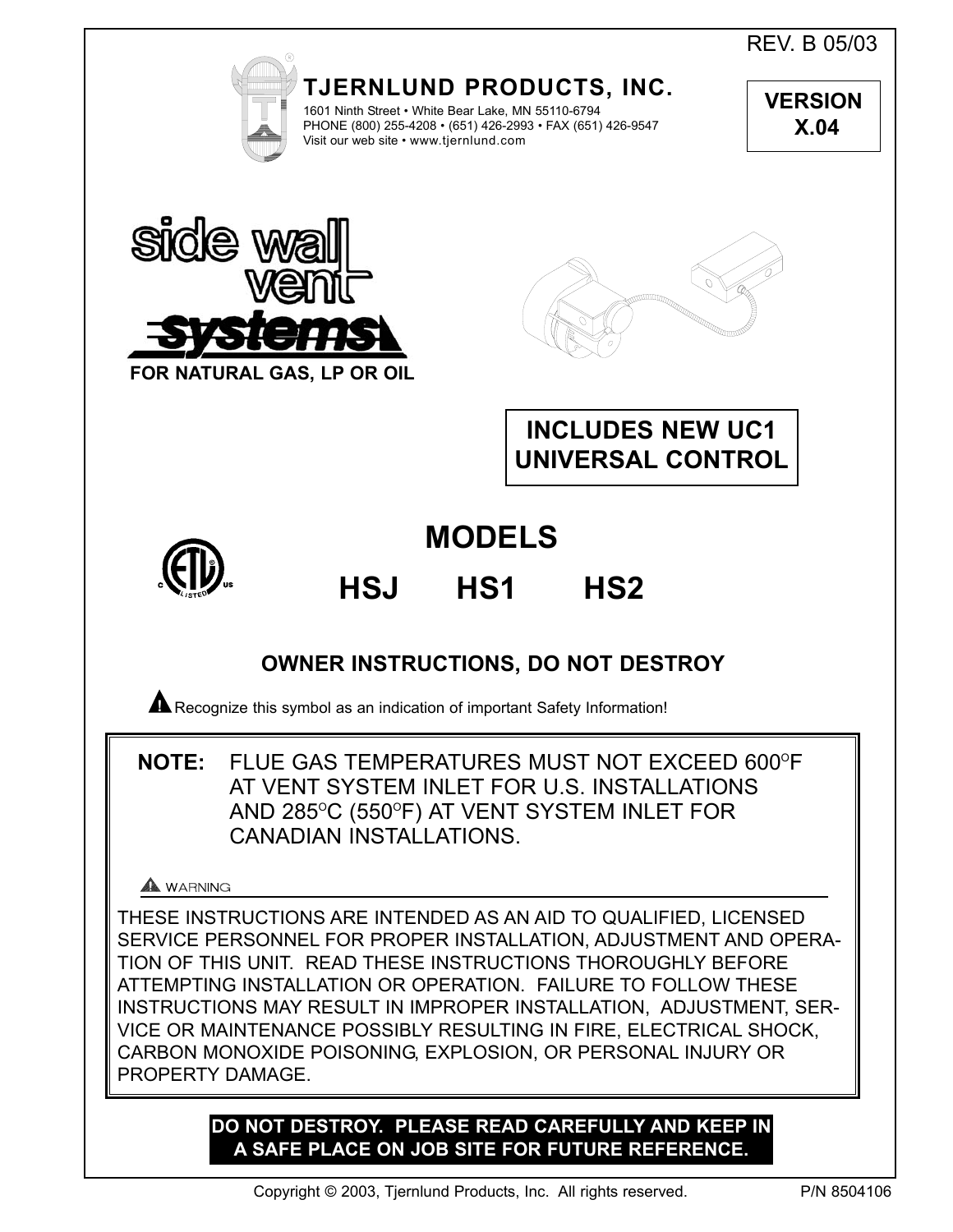REV. B 05/03



**TJERNLUND PRODUCTS, INC.** 1601 Ninth Street • White Bear Lake, MN 55110-6794

PHONE (800) 255-4208 • (651) 426-2993 • FAX (651) 426-9547 Visit our web site • www.tjernlund.com

**VERSION X.04** 





**INCLUDES NEW UC1 UNIVERSAL CONTROL**



# **MODELS**

# **HSJ HS1 HS2**

## **OWNER INSTRUCTIONS, DO NOT DESTROY**

**A** Recognize this symbol as an indication of important Safety Information!

**NOTE:** FLUE GAS TEMPERATURES MUST NOT EXCEED 600°F AT VENT SYSTEM INLET FOR U.S. INSTALLATIONS AND 285°C (550°F) AT VENT SYSTEM INLET FOR CANADIAN INSTALLATIONS.

## A WARNING

THESE INSTRUCTIONS ARE INTENDED AS AN AID TO QUALIFIED, LICENSED SERVICE PERSONNEL FOR PROPER INSTALLATION, ADJUSTMENT AND OPERA-TION OF THIS UNIT. READ THESE INSTRUCTIONS THOROUGHLY BEFORE ATTEMPTING INSTALLATION OR OPERATION. FAILURE TO FOLLOW THESE INSTRUCTIONS MAY RESULT IN IMPROPER INSTALLATION, ADJUSTMENT, SER-VICE OR MAINTENANCE POSSIBLY RESULTING IN FIRE, ELECTRICAL SHOCK, CARBON MONOXIDE POISONING, EXPLOSION, OR PERSONAL INJURY OR PROPERTY DAMAGE.

## **DO NOT DESTROY. PLEASE READ CAREFULLY AND KEEP IN A SAFE PLACE ON JOB SITE FOR FUTURE REFERENCE.**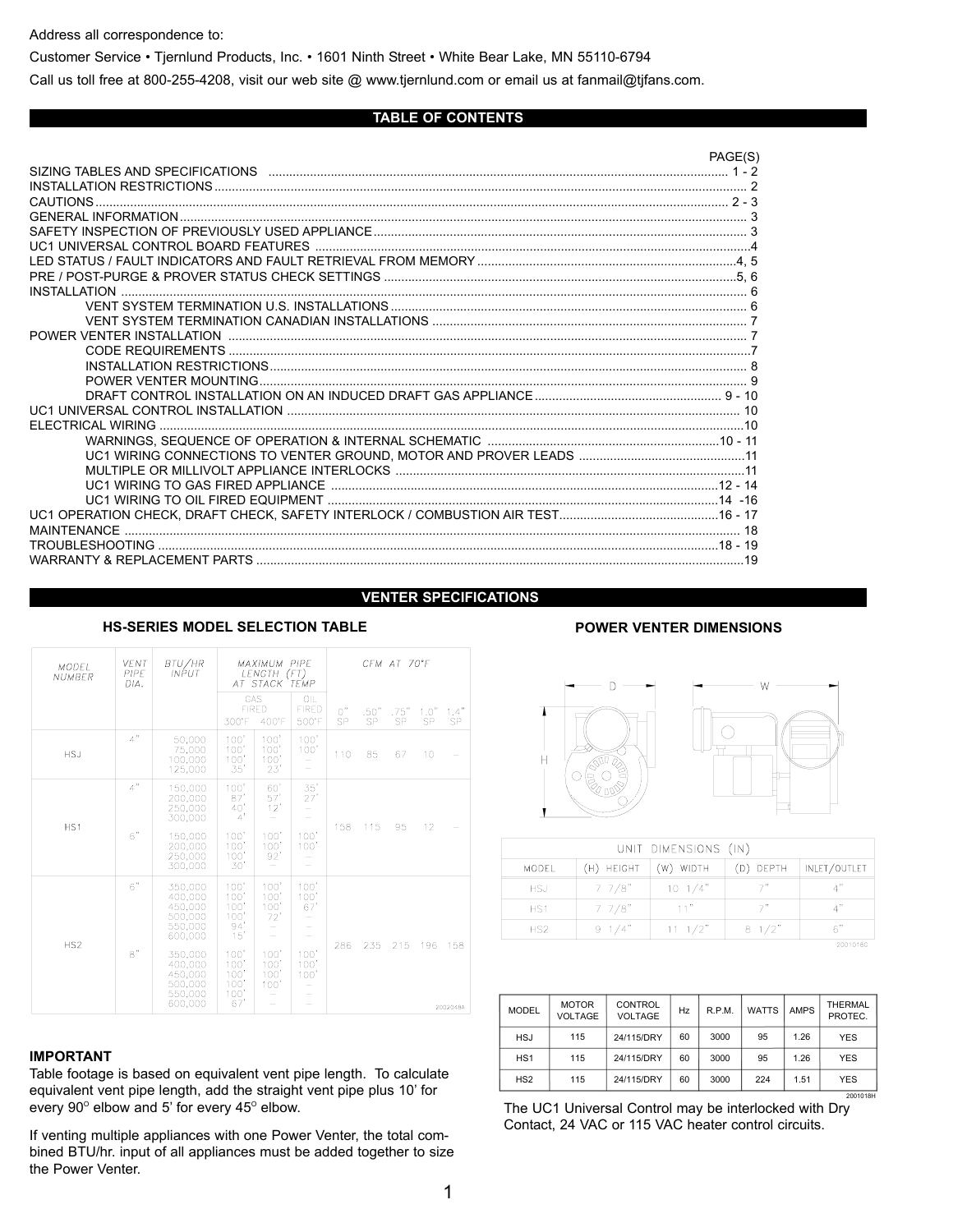Address all correspondence to:

Customer Service • Tjernlund Products, Inc. • 1601 Ninth Street • White Bear Lake, MN 55110-6794

Call us toll free at 800-255-4208, visit our web site @ www.tjernlund.com or email us at fanmail@tjfans.com.

## **TABLE OF CONTENTS**

|                    | PAGE(S) |
|--------------------|---------|
|                    |         |
|                    |         |
| <b>CAUTIONS</b>    |         |
|                    |         |
|                    |         |
|                    |         |
|                    |         |
|                    |         |
|                    |         |
|                    |         |
|                    |         |
|                    |         |
|                    |         |
|                    |         |
|                    |         |
|                    |         |
| FLECTRICAL WIRING  |         |
|                    |         |
|                    |         |
|                    |         |
|                    |         |
|                    |         |
|                    |         |
| <b>MAINTENANCE</b> |         |
|                    |         |
|                    |         |

## **VENTER SPECIFICATIONS**

| <b>MODEL</b><br><b>NUMBER</b> | <b>VENT</b><br>PIPE<br>DIA. | BTU/HR<br><b>INPUT</b>                                                                                                           | <b>MAXIMUM PIPE</b><br>LENGTH (FT)<br>AT STACK TEMP                                      |                                                            |                                             |          | CFM AT 70°F       |            |            |                 |
|-------------------------------|-----------------------------|----------------------------------------------------------------------------------------------------------------------------------|------------------------------------------------------------------------------------------|------------------------------------------------------------|---------------------------------------------|----------|-------------------|------------|------------|-----------------|
|                               |                             |                                                                                                                                  | GAS<br>300°F                                                                             | <b>FIRED</b><br>400°F                                      | OIL<br><b>FIRED</b><br>500°F                | 0"<br>SP | .50"<br><b>SP</b> | .75"<br>SP | 1.0"<br>SP | 1.4"<br>SP.     |
| <b>HSJ</b>                    | 4"                          | 50.000<br>75,000<br>100,000<br>125,000                                                                                           | 100'<br>100'<br>100'<br>35'                                                              | 100'<br>100'<br>100'<br>23'                                | 100'<br>100'<br>-                           | 110      | 85                | 67         | 10         |                 |
| HS1                           | 4"<br>6"                    | 150.000<br>200.000<br>250,000<br>300,000<br>150,000<br>200.000<br>250,000<br>300.000                                             | 100'<br>87'<br>40<br>4'<br>100'<br>100'<br>100'<br>30'                                   | 60'<br>57'<br>12'<br>100'<br>100'<br>92'                   | 35'<br>27'<br>-<br>100'<br>100'             | 158      | 115               | 95         | 12         |                 |
| HS <sub>2</sub>               | 6"<br>8"                    | 350.000<br>400,000<br>450,000<br>500,000<br>550,000<br>600,000<br>350.000<br>400.000<br>450,000<br>500,000<br>550,000<br>600,000 | 100'<br>100'<br>100<br>100'<br>94'<br>15'<br>100'<br>100'<br>100'<br>100'<br>100'<br>67' | 100'<br>100'<br>100<br>72'<br>100'<br>100'<br>100'<br>100' | 100'<br>100'<br>67'<br>100'<br>100'<br>100' | 286      | 235               | 215        | 196        | 158<br>2002048A |

## **HS-SERIES MODEL SELECTION TABLE POWER VENTER DIMENSIONS**

## **IMPORTANT**

Table footage is based on equivalent vent pipe length. To calculate equivalent vent pipe length, add the straight vent pipe plus 10' for every  $90^\circ$  elbow and 5' for every  $45^\circ$  elbow.

If venting multiple appliances with one Power Venter, the total combined BTU/hr. input of all appliances must be added together to size the Power Venter.





| UNIT DIMENSIONS (IN) |                 |                  |                 |                             |  |  |
|----------------------|-----------------|------------------|-----------------|-----------------------------|--|--|
| <b>MODEL</b>         | (H) HEIGHT      | WIDTH<br>(W)     | (D) DEPTH       | INLET/OUTLET                |  |  |
| <b>HSJ</b>           | $7 \frac{7}{8}$ | $10 \frac{1}{4}$ |                 | $\Lambda$ <sup>33</sup>     |  |  |
| HS <sub>1</sub>      | $7 \frac{7}{8}$ | 11 <sup>n</sup>  | 7"              | $\mathbf{A}^{\prime\prime}$ |  |  |
| HS2                  | $9 \frac{1}{4}$ | $11 \frac{1}{2}$ | $8 \frac{1}{2}$ | 6"                          |  |  |
| 20010180             |                 |                  |                 |                             |  |  |

| <b>MODEL</b>    | <b>MOTOR</b><br><b>VOLTAGE</b> | <b>CONTROL</b><br><b>VOLTAGE</b> | Hz | R.P.M. | <b>WATTS</b> | <b>AMPS</b> | THERMAL<br>PROTEC. |
|-----------------|--------------------------------|----------------------------------|----|--------|--------------|-------------|--------------------|
| <b>HSJ</b>      | 115                            | 24/115/DRY                       | 60 | 3000   | 95           | 1.26        | <b>YES</b>         |
| HS <sub>1</sub> | 115                            | 24/115/DRY                       | 60 | 3000   | 95           | 1.26        | <b>YES</b>         |
| HS <sub>2</sub> | 115                            | 24/115/DRY                       | 60 | 3000   | 224          | 1.51        | <b>YES</b>         |
|                 |                                |                                  |    |        |              |             | 2001018H           |

The UC1 Universal Control may be interlocked with Dry Contact, 24 VAC or 115 VAC heater control circuits.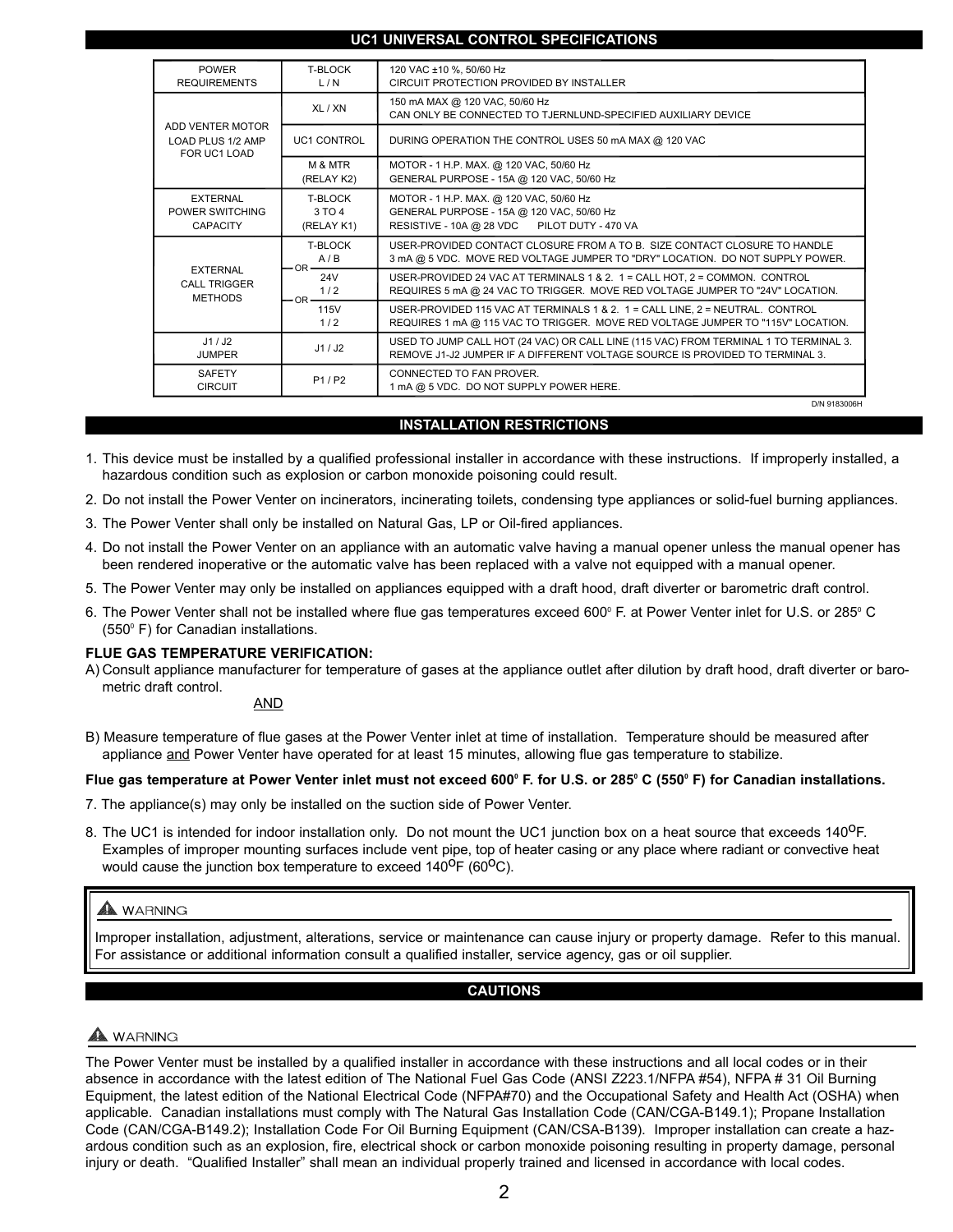## **UC1 UNIVERSAL CONTROL SPECIFICATIONS**

| <b>POWER</b><br><b>REQUIREMENTS</b>                      | T-BLOCK<br>L/N                      | 120 VAC ±10 %, 50/60 Hz<br>CIRCUIT PROTECTION PROVIDED BY INSTALLER                                                                                                  |
|----------------------------------------------------------|-------------------------------------|----------------------------------------------------------------------------------------------------------------------------------------------------------------------|
|                                                          | XL / XN                             | 150 mA MAX @ 120 VAC, 50/60 Hz<br>CAN ONLY BE CONNECTED TO TJERNLUND-SPECIFIED AUXILIARY DEVICE                                                                      |
| ADD VENTER MOTOR<br>LOAD PLUS 1/2 AMP<br>FOR UC1 LOAD    | <b>UC1 CONTROL</b>                  | DURING OPERATION THE CONTROL USES 50 mA MAX @ 120 VAC                                                                                                                |
|                                                          | M & MTR<br>(RELAY K2)               | MOTOR - 1 H.P. MAX. @ 120 VAC, 50/60 Hz<br>GENERAL PURPOSE - 15A @ 120 VAC, 50/60 Hz                                                                                 |
| <b>EXTERNAL</b><br>POWER SWITCHING<br><b>CAPACITY</b>    | T-BLOCK<br>3 TO 4<br>(RELAY K1)     | MOTOR - 1 H.P. MAX. @ 120 VAC, 50/60 Hz<br>GENERAL PURPOSE - 15A @ 120 VAC, 50/60 Hz<br>RESISTIVE - 10A @ 28 VDC PILOT DUTY - 470 VA                                 |
|                                                          | T-BLOCK<br>A/B<br>$OR -$            | USER-PROVIDED CONTACT CLOSURE FROM A TO B. SIZE CONTACT CLOSURE TO HANDLE<br>3 mA @ 5 VDC. MOVE RED VOLTAGE JUMPER TO "DRY" LOCATION. DO NOT SUPPLY POWER.           |
| <b>EXTERNAL</b><br><b>CALL TRIGGER</b><br><b>METHODS</b> | 24 <sub>V</sub><br>1/2<br>$-OR$ $-$ | USER-PROVIDED 24 VAC AT TERMINALS 1 & 2. 1 = CALL HOT, 2 = COMMON. CONTROL<br>REQUIRES 5 mA @ 24 VAC TO TRIGGER. MOVE RED VOLTAGE JUMPER TO "24V" LOCATION.          |
|                                                          | 115V<br>1/2                         | USER-PROVIDED 115 VAC AT TERMINALS 1 & 2. 1 = CALL LINE, 2 = NEUTRAL. CONTROL<br>REQUIRES 1 mA @ 115 VAC TO TRIGGER. MOVE RED VOLTAGE JUMPER TO "115V" LOCATION.     |
| J1/J2<br><b>JUMPER</b>                                   | J1/J2                               | USED TO JUMP CALL HOT (24 VAC) OR CALL LINE (115 VAC) FROM TERMINAL 1 TO TERMINAL 3.<br>REMOVE J1-J2 JUMPER IF A DIFFERENT VOLTAGE SOURCE IS PROVIDED TO TERMINAL 3. |
| <b>SAFETY</b><br><b>CIRCUIT</b>                          | P1/P2                               | CONNECTED TO FAN PROVER.<br>1 mA @ 5 VDC. DO NOT SUPPLY POWER HERE.                                                                                                  |
|                                                          |                                     | D/N 9183006H                                                                                                                                                         |

## **INSTALLATION RESTRICTIONS**

- 1. This device must be installed by a qualified professional installer in accordance with these instructions. If improperly installed, a hazardous condition such as explosion or carbon monoxide poisoning could result.
- 2. Do not install the Power Venter on incinerators, incinerating toilets, condensing type appliances or solid-fuel burning appliances.
- 3. The Power Venter shall only be installed on Natural Gas, LP or Oil-fired appliances.
- 4. Do not install the Power Venter on an appliance with an automatic valve having a manual opener unless the manual opener has been rendered inoperative or the automatic valve has been replaced with a valve not equipped with a manual opener.
- 5. The Power Venter may only be installed on appliances equipped with a draft hood, draft diverter or barometric draft control.
- 6. The Power Venter shall not be installed where flue gas temperatures exceed 600° F. at Power Venter inlet for U.S. or 285° C  $(550^{\circ} \text{ F})$  for Canadian installations.

## **FLUE GAS TEMPERATURE VERIFICATION:**

A) Consult appliance manufacturer for temperature of gases at the appliance outlet after dilution by draft hood, draft diverter or barometric draft control.

## AND

B) Measure temperature of flue gases at the Power Venter inlet at time of installation. Temperature should be measured after appliance and Power Venter have operated for at least 15 minutes, allowing flue gas temperature to stabilize.

## Flue gas temperature at Power Venter inlet must not exceed 600° F. for U.S. or 285° C (550° F) for Canadian installations.

- 7. The appliance(s) may only be installed on the suction side of Power Venter.
- 8. The UC1 is intended for indoor installation only. Do not mount the UC1 junction box on a heat source that exceeds 140<sup>0</sup>F. Examples of improper mounting surfaces include vent pipe, top of heater casing or any place where radiant or convective heat would cause the junction box temperature to exceed  $140^{\circ}F (60^{\circ}C)$ .

## A WARNING

Improper installation, adjustment, alterations, service or maintenance can cause injury or property damage. Refer to this manual. For assistance or additional information consult a qualified installer, service agency, gas or oil supplier.

## **CAUTIONS**

## WARNING

The Power Venter must be installed by a qualified installer in accordance with these instructions and all local codes or in their absence in accordance with the latest edition of The National Fuel Gas Code (ANSI Z223.1/NFPA #54), NFPA # 31 Oil Burning Equipment, the latest edition of the National Electrical Code (NFPA#70) and the Occupational Safety and Health Act (OSHA) when applicable. Canadian installations must comply with The Natural Gas Installation Code (CAN/CGA-B149.1); Propane Installation Code (CAN/CGA-B149.2); Installation Code For Oil Burning Equipment (CAN/CSA-B139). Improper installation can create a hazardous condition such as an explosion, fire, electrical shock or carbon monoxide poisoning resulting in property damage, personal injury or death. "Qualified Installer" shall mean an individual properly trained and licensed in accordance with local codes.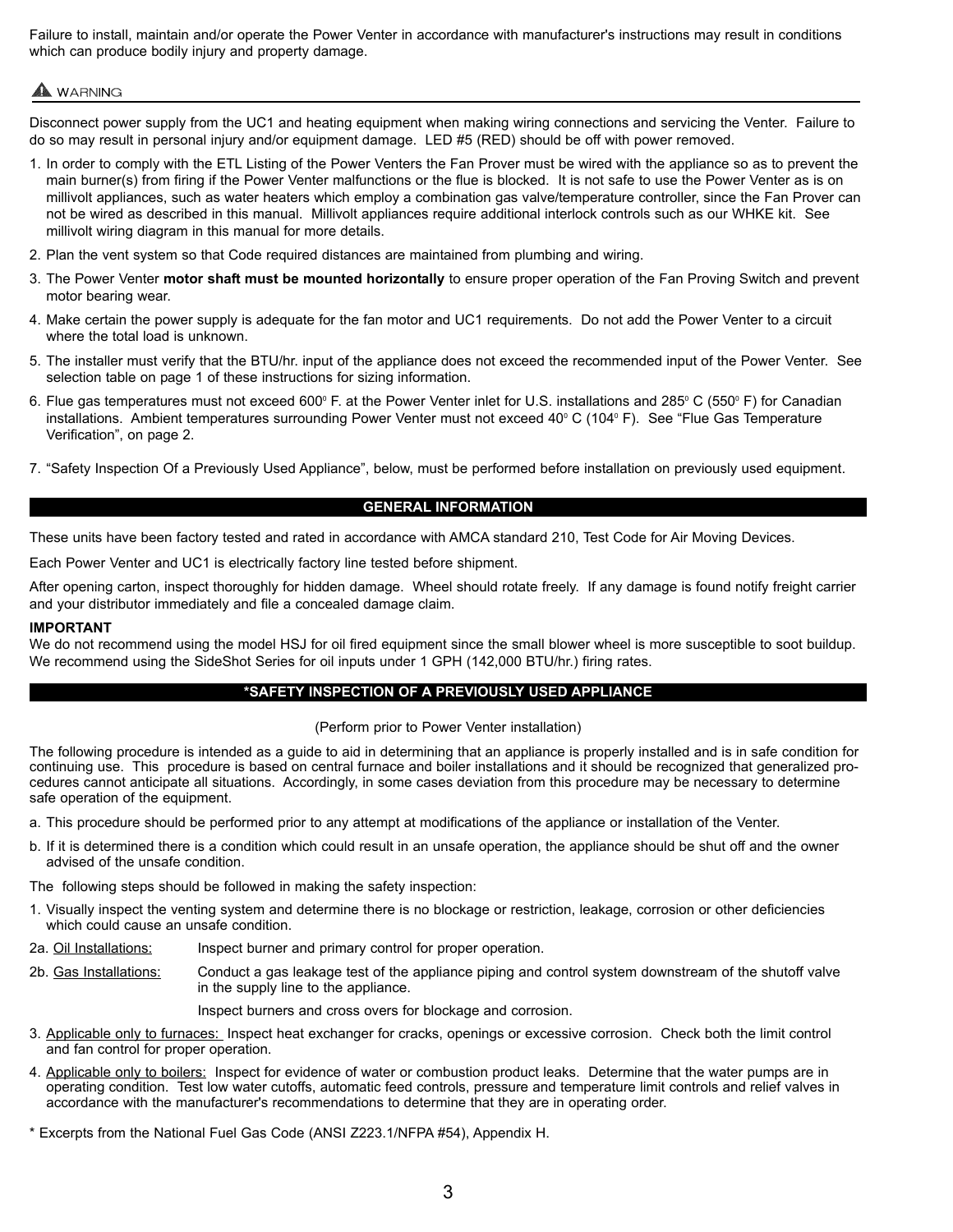Failure to install, maintain and/or operate the Power Venter in accordance with manufacturer's instructions may result in conditions which can produce bodily injury and property damage.

## A WARNING

Disconnect power supply from the UC1 and heating equipment when making wiring connections and servicing the Venter. Failure to do so may result in personal injury and/or equipment damage. LED #5 (RED) should be off with power removed.

- 1. In order to comply with the ETL Listing of the Power Venters the Fan Prover must be wired with the appliance so as to prevent the main burner(s) from firing if the Power Venter malfunctions or the flue is blocked. It is not safe to use the Power Venter as is on millivolt appliances, such as water heaters which employ a combination gas valve/temperature controller, since the Fan Prover can not be wired as described in this manual. Millivolt appliances require additional interlock controls such as our WHKE kit. See millivolt wiring diagram in this manual for more details.
- 2. Plan the vent system so that Code required distances are maintained from plumbing and wiring.
- 3. The Power Venter **motor shaft must be mounted horizontally** to ensure proper operation of the Fan Proving Switch and prevent motor bearing wear.
- 4. Make certain the power supply is adequate for the fan motor and UC1 requirements. Do not add the Power Venter to a circuit where the total load is unknown.
- 5. The installer must verify that the BTU/hr. input of the appliance does not exceed the recommended input of the Power Venter. See selection table on page 1 of these instructions for sizing information.
- 6. Flue gas temperatures must not exceed 600° F. at the Power Venter inlet for U.S. installations and 285° C (550° F) for Canadian installations. Ambient temperatures surrounding Power Venter must not exceed 40 $^{\circ}$  C (104 $^{\circ}$  F). See "Flue Gas Temperature Verification", on page 2.
- 7. "Safety Inspection Of a Previously Used Appliance", below, must be performed before installation on previously used equipment.

## **GENERAL INFORMATION**

These units have been factory tested and rated in accordance with AMCA standard 210, Test Code for Air Moving Devices.

Each Power Venter and UC1 is electrically factory line tested before shipment.

After opening carton, inspect thoroughly for hidden damage. Wheel should rotate freely. If any damage is found notify freight carrier and your distributor immediately and file a concealed damage claim.

#### **IMPORTANT**

We do not recommend using the model HSJ for oil fired equipment since the small blower wheel is more susceptible to soot buildup. We recommend using the SideShot Series for oil inputs under 1 GPH (142,000 BTU/hr.) firing rates.

## **\*SAFETY INSPECTION OF A PREVIOUSLY USED APPLIANCE**

(Perform prior to Power Venter installation)

The following procedure is intended as a guide to aid in determining that an appliance is properly installed and is in safe condition for continuing use. This procedure is based on central furnace and boiler installations and it should be recognized that generalized procedures cannot anticipate all situations. Accordingly, in some cases deviation from this procedure may be necessary to determine safe operation of the equipment.

- a. This procedure should be performed prior to any attempt at modifications of the appliance or installation of the Venter.
- b. If it is determined there is a condition which could result in an unsafe operation, the appliance should be shut off and the owner advised of the unsafe condition.

The following steps should be followed in making the safety inspection:

- 1. Visually inspect the venting system and determine there is no blockage or restriction, leakage, corrosion or other deficiencies which could cause an unsafe condition.
- 2a. Oil Installations: Inspect burner and primary control for proper operation.
- 2b. Gas Installations: Conduct a gas leakage test of the appliance piping and control system downstream of the shutoff valve in the supply line to the appliance.

Inspect burners and cross overs for blockage and corrosion.

- 3. Applicable only to furnaces: Inspect heat exchanger for cracks, openings or excessive corrosion. Check both the limit control and fan control for proper operation.
- 4. Applicable only to boilers: Inspect for evidence of water or combustion product leaks. Determine that the water pumps are in operating condition. Test low water cutoffs, automatic feed controls, pressure and temperature limit controls and relief valves in accordance with the manufacturer's recommendations to determine that they are in operating order.
- \* Excerpts from the National Fuel Gas Code (ANSI Z223.1/NFPA #54), Appendix H.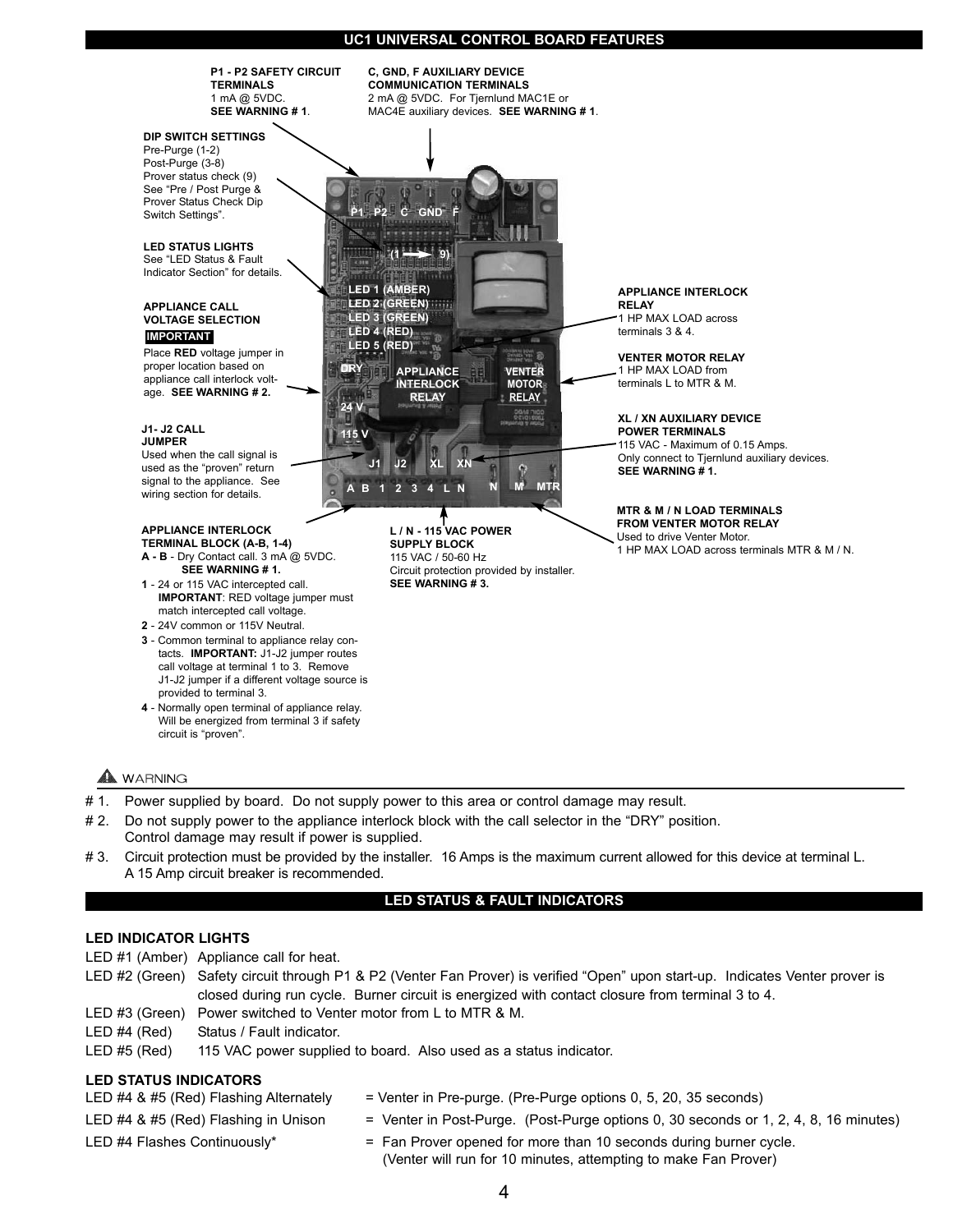## **UC1 UNIVERSAL CONTROL BOARD FEATURES**



**4** - Normally open terminal of appliance relay. Will be energized from terminal 3 if safety circuit is "proven".

## WARNING

- # 1. Power supplied by board. Do not supply power to this area or control damage may result.
- # 2. Do not supply power to the appliance interlock block with the call selector in the "DRY" position. Control damage may result if power is supplied.
- #3. Circuit protection must be provided by the installer. 16 Amps is the maximum current allowed for this device at terminal L. A 15 Amp circuit breaker is recommended.

#### **LED STATUS & FAULT INDICATORS**

## **LED INDICATOR LIGHTS**

- LED #1 (Amber) Appliance call for heat.
- LED #2 (Green) Safety circuit through P1 & P2 (Venter Fan Prover) is verified "Open" upon start-up. Indicates Venter prover is closed during run cycle. Burner circuit is energized with contact closure from terminal 3 to 4.
- LED #3 (Green) Power switched to Venter motor from L to MTR & M.
- LED #4 (Red) Status / Fault indicator.
- LED #5 (Red) 115 VAC power supplied to board. Also used as a status indicator.

## **LED STATUS INDICATORS**

- LED #4 & #5 (Red) Flashing Alternately = Venter in Pre-purge. (Pre-Purge options 0, 5, 20, 35 seconds)
- 
- 
- LED #4 & #5 (Red) Flashing in Unison = Venter in Post-Purge. (Post-Purge options 0, 30 seconds or 1, 2, 4, 8, 16 minutes)
- 
- LED #4 Flashes Continuously\*  $=$  Fan Prover opened for more than 10 seconds during burner cycle. (Venter will run for 10 minutes, attempting to make Fan Prover)
	- 4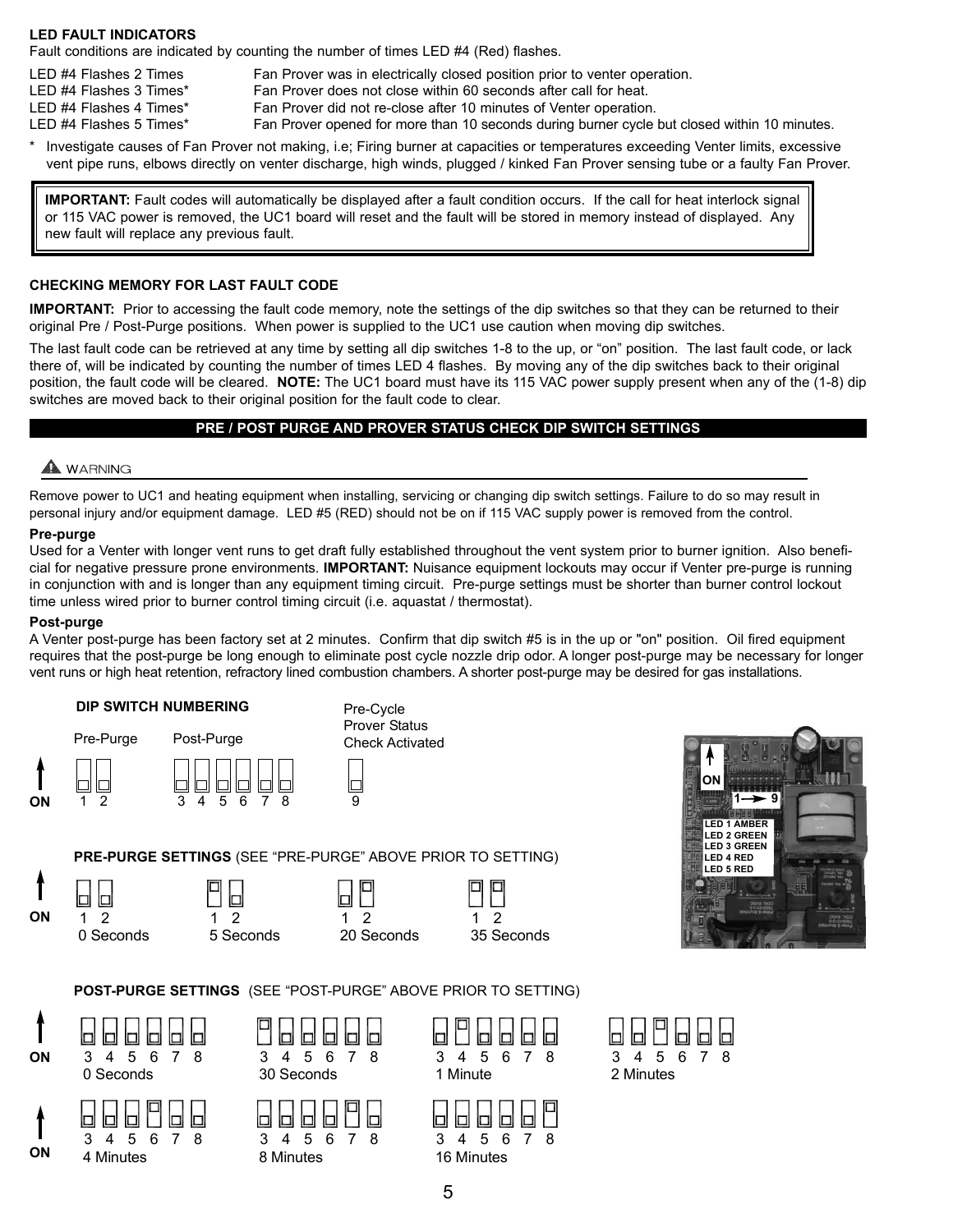## **LED FAULT INDICATORS**

Fault conditions are indicated by counting the number of times LED #4 (Red) flashes.

- LED #4 Flashes 2 Times Fan Prover was in electrically closed position prior to venter operation.
- LED #4 Flashes 3 Times\* Fan Prover does not close within 60 seconds after call for heat.
- LED #4 Flashes 4 Times\* Fan Prover did not re-close after 10 minutes of Venter operation.
- LED #4 Flashes 5 Times\* Fan Prover opened for more than 10 seconds during burner cycle but closed within 10 minutes.
- Investigate causes of Fan Prover not making, i.e; Firing burner at capacities or temperatures exceeding Venter limits, excessive vent pipe runs, elbows directly on venter discharge, high winds, plugged / kinked Fan Prover sensing tube or a faulty Fan Prover.

**IMPORTANT:** Fault codes will automatically be displayed after a fault condition occurs. If the call for heat interlock signal or 115 VAC power is removed, the UC1 board will reset and the fault will be stored in memory instead of displayed. Any new fault will replace any previous fault.

## **CHECKING MEMORY FOR LAST FAULT CODE**

**IMPORTANT:** Prior to accessing the fault code memory, note the settings of the dip switches so that they can be returned to their original Pre / Post-Purge positions. When power is supplied to the UC1 use caution when moving dip switches.

The last fault code can be retrieved at any time by setting all dip switches 1-8 to the up, or "on" position. The last fault code, or lack there of, will be indicated by counting the number of times LED 4 flashes. By moving any of the dip switches back to their original position, the fault code will be cleared. **NOTE:** The UC1 board must have its 115 VAC power supply present when any of the (1-8) dip switches are moved back to their original position for the fault code to clear.

## **PRE / POST PURGE AND PROVER STATUS CHECK DIP SWITCH SETTINGS**

## A WARNING

Remove power to UC1 and heating equipment when installing, servicing or changing dip switch settings. Failure to do so may result in personal injury and/or equipment damage. LED #5 (RED) should not be on if 115 VAC supply power is removed from the control.

## **Pre-purge**

Used for a Venter with longer vent runs to get draft fully established throughout the vent system prior to burner ignition. Also beneficial for negative pressure prone environments. **IMPORTANT:** Nuisance equipment lockouts may occur if Venter pre-purge is running in conjunction with and is longer than any equipment timing circuit. Pre-purge settings must be shorter than burner control lockout time unless wired prior to burner control timing circuit (i.e. aquastat / thermostat).

## **Post-purge**

A Venter post-purge has been factory set at 2 minutes. Confirm that dip switch #5 is in the up or "on" position. Oil fired equipment requires that the post-purge be long enough to eliminate post cycle nozzle drip odor. A longer post-purge may be necessary for longer vent runs or high heat retention, refractory lined combustion chambers. A shorter post-purge may be desired for gas installations.

## **DIP SWITCH NUMBERING**





Pre-Cycle Prover Status



lo





 $\Box$ 



**PRE-PURGE SETTINGS** (SEE "PRE-PURGE" ABOVE PRIOR TO SETTING)





0 Seconds 5 Seconds 20 Seconds 35 Seconds



**POST-PURGE SETTINGS** (SEE "POST-PURGE" ABOVE PRIOR TO SETTING)





|          | 808886      |  |  |
|----------|-------------|--|--|
|          | 3 4 5 6 7 8 |  |  |
| 1 Minute |             |  |  |



b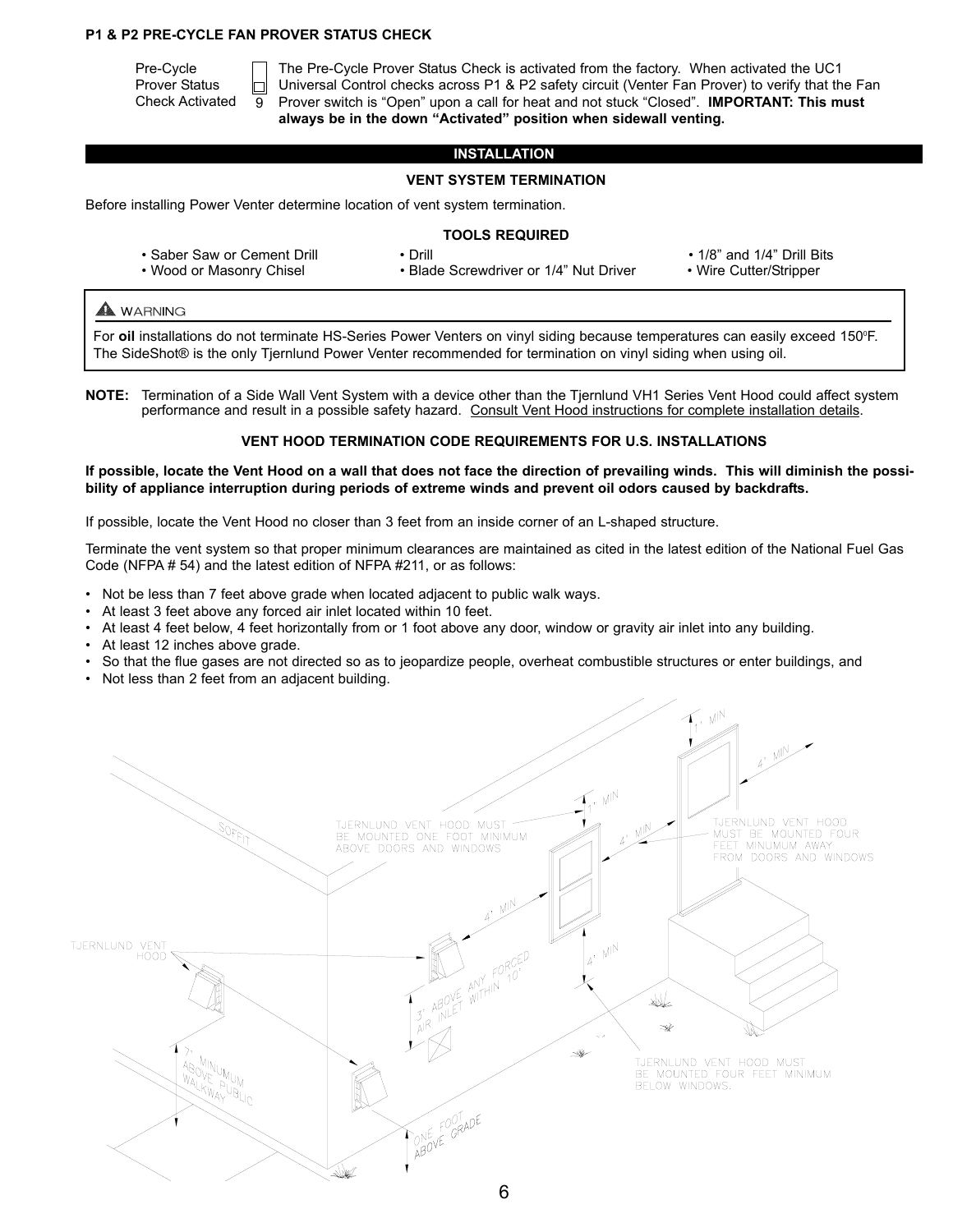## **P1 & P2 PRE-CYCLE FAN PROVER STATUS CHECK**

Pre-Cycle Prover Status Check Activated  $\overline{9}$ 

The Pre-Cycle Prover Status Check is activated from the factory. When activated the UC1 Universal Control checks across P1 & P2 safety circuit (Venter Fan Prover) to verify that the Fan Prover switch is "Open" upon a call for heat and not stuck "Closed". **IMPORTANT: This must always be in the down "Activated" position when sidewall venting.** 

## **INSTALLATION**

## **VENT SYSTEM TERMINATION**

Before installing Power Venter determine location of vent system termination.

## **TOOLS REQUIRED**

- Saber Saw or Cement Drill Drill Drill  **1/8**" and 1/4" Drill Bits
- Wood or Masonry Chisel • Blade Screwdriver or 1/4" Nut Driver Wire Cutter/Stripper
- 
- 

## **A** WARNING

For oil installations do not terminate HS-Series Power Venters on vinyl siding because temperatures can easily exceed 150°F. The SideShot® is the only Tjernlund Power Venter recommended for termination on vinyl siding when using oil.

**NOTE:** Termination of a Side Wall Vent System with a device other than the Tjernlund VH1 Series Vent Hood could affect system performance and result in a possible safety hazard. Consult Vent Hood instructions for complete installation details.

## **VENT HOOD TERMINATION CODE REQUIREMENTS FOR U.S. INSTALLATIONS**

**If possible, locate the Vent Hood on a wall that does not face the direction of prevailing winds. This will diminish the possibility of appliance interruption during periods of extreme winds and prevent oil odors caused by backdrafts.**

If possible, locate the Vent Hood no closer than 3 feet from an inside corner of an L-shaped structure.

Terminate the vent system so that proper minimum clearances are maintained as cited in the latest edition of the National Fuel Gas Code (NFPA # 54) and the latest edition of NFPA #211, or as follows:

- Not be less than 7 feet above grade when located adjacent to public walk ways.
- At least 3 feet above any forced air inlet located within 10 feet.
- At least 4 feet below, 4 feet horizontally from or 1 foot above any door, window or gravity air inlet into any building.
- At least 12 inches above grade.
- So that the flue gases are not directed so as to jeopardize people, overheat combustible structures or enter buildings, and
- Not less than 2 feet from an adjacent building.

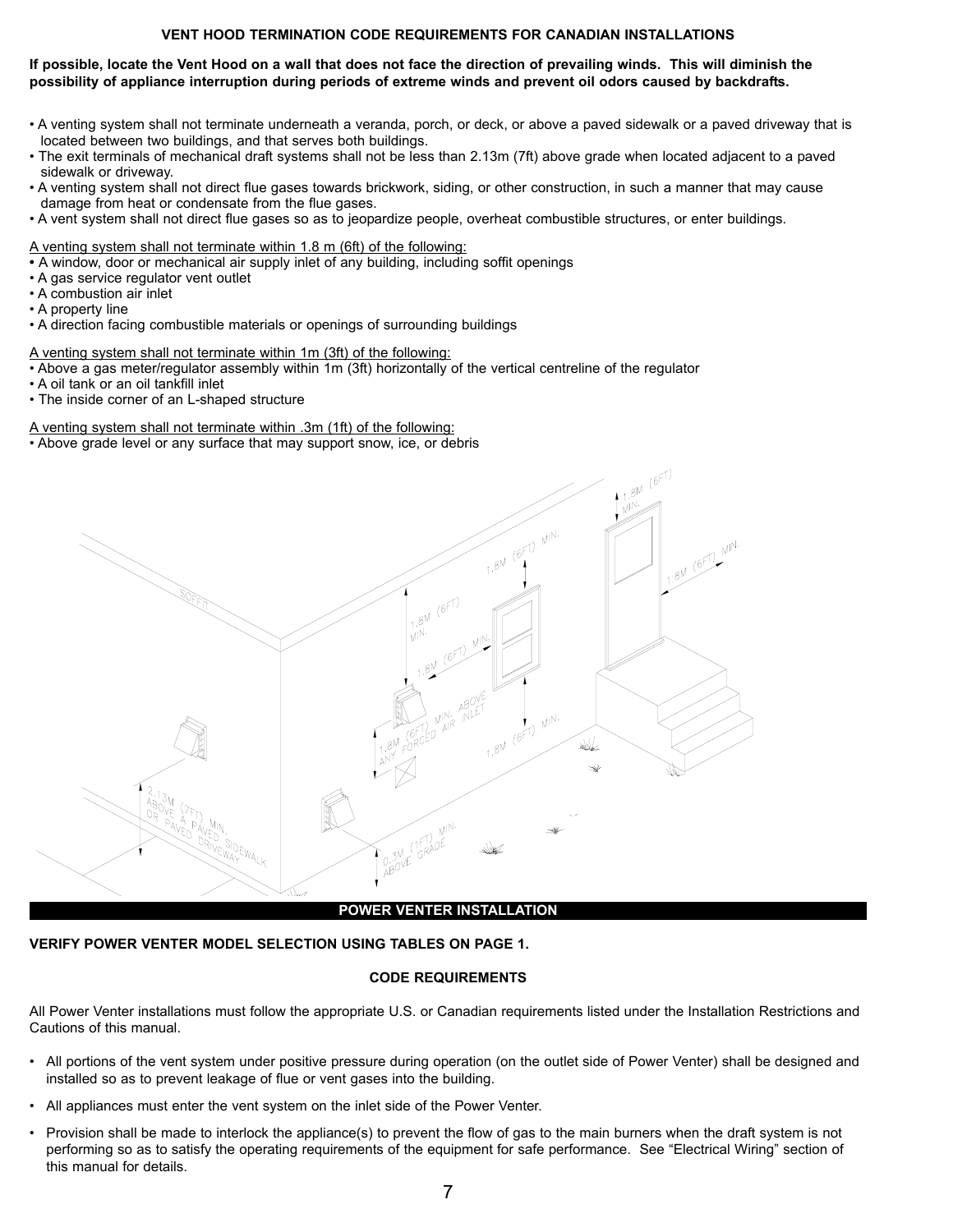## **VENT HOOD TERMINATION CODE REQUIREMENTS FOR CANADIAN INSTALLATIONS**

## **If possible, locate the Vent Hood on a wall that does not face the direction of prevailing winds. This will diminish the**  possibility of appliance interruption during periods of extreme winds and prevent oil odors caused by backdrafts.

- A venting system shall not terminate underneath a veranda, porch, or deck, or above a paved sidewalk or a paved driveway that is located between two buildings, and that serves both buildings.
- The exit terminals of mechanical draft systems shall not be less than 2.13m (7ft) above grade when located adjacent to a paved sidewalk or driveway.
- A venting system shall not direct flue gases towards brickwork, siding, or other construction, in such a manner that may cause damage from heat or condensate from the flue gases.
- A vent system shall not direct flue gases so as to jeopardize people, overheat combustible structures, or enter buildings.

A venting system shall not terminate within 1.8 m (6ft) of the following:

- A window, door or mechanical air supply inlet of any building, including soffit openings
- A gas service regulator vent outlet
- A combustion air inlet
- A property line
- A direction facing combustible materials or openings of surrounding buildings

A venting system shall not terminate within 1m (3ft) of the following:

• Above a gas meter/regulator assembly within 1m (3ft) horizontally of the vertical centreline of the regulator

- A oil tank or an oil tankfill inlet
- The inside corner of an L-shaped structure

## A venting system shall not terminate within .3m (1ft) of the following:

• Above grade level or any surface that may support snow, ice, or debris



## **VERIFY POWER VENTER MODEL SELECTION USING TABLES ON PAGE 1.**

## **CODE REQUIREMENTS**

All Power Venter installations must follow the appropriate U.S. or Canadian requirements listed under the Installation Restrictions and Cautions of this manual.

- All portions of the vent system under positive pressure during operation (on the outlet side of Power Venter) shall be designed and installed so as to prevent leakage of flue or vent gases into the building.
- All appliances must enter the vent system on the inlet side of the Power Venter.
- Provision shall be made to interlock the appliance(s) to prevent the flow of gas to the main burners when the draft system is not performing so as to satisfy the operating requirements of the equipment for safe performance. See "Electrical Wiring" section of this manual for details.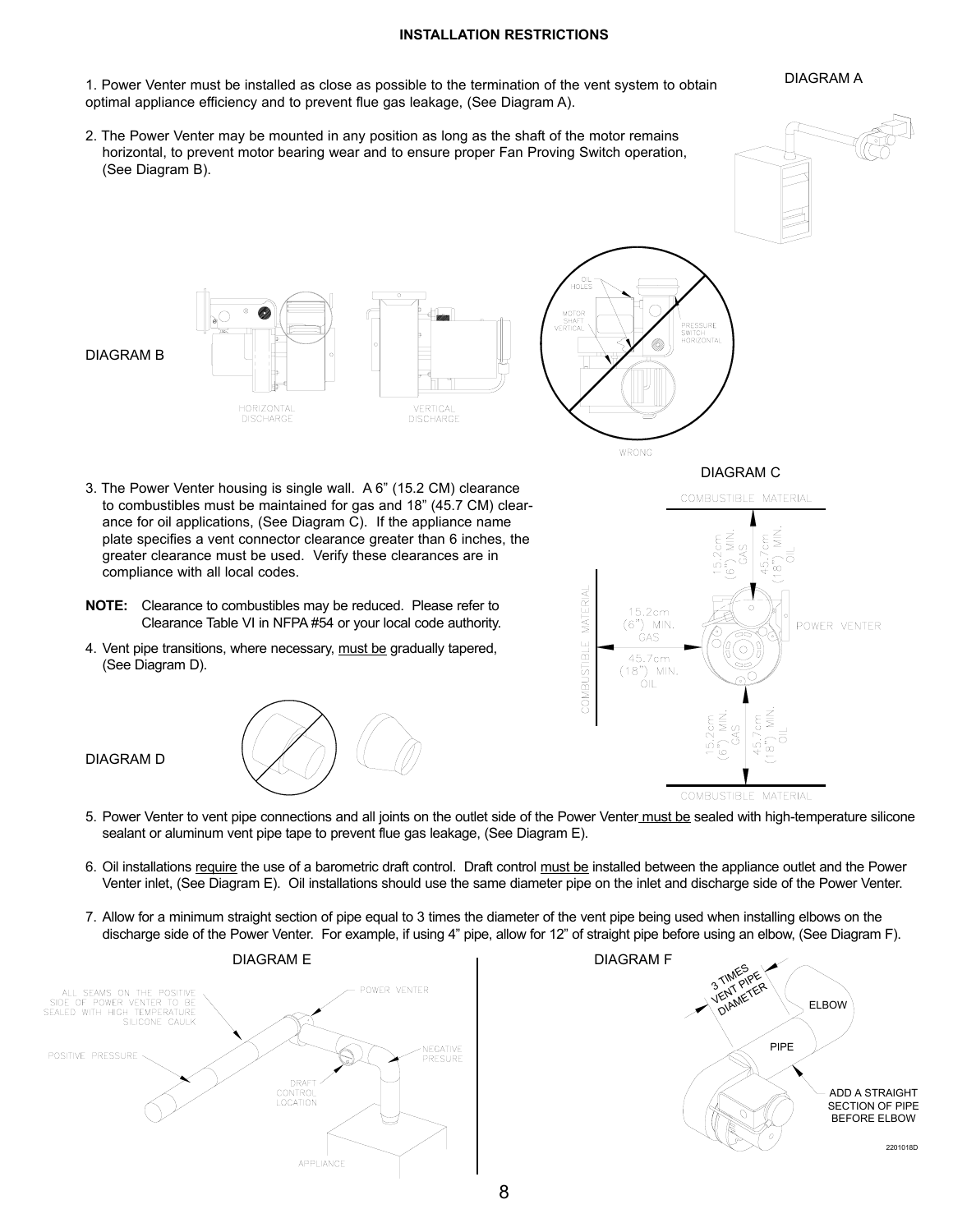## **INSTALLATION RESTRICTIONS**

DIAGRAM A

- 1. Power Venter must be installed as close as possible to the termination of the vent system to obtain optimal appliance efficiency and to prevent flue gas leakage, (See Diagram A).
- 2. The Power Venter may be mounted in any position as long as the shaft of the motor remains horizontal, to prevent motor bearing wear and to ensure proper Fan Proving Switch operation, (See Diagram B).







U)

PRESSURE<br>SWITCH<br>HORIZONTAL

- 3. The Power Venter housing is single wall. A 6" (15.2 CM) clearance to combustibles must be maintained for gas and 18" (45.7 CM) clearance for oil applications, (See Diagram C). If the appliance name plate specifies a vent connector clearance greater than 6 inches, the greater clearance must be used. Verify these clearances are in compliance with all local codes.
- **NOTE:** Clearance to combustibles may be reduced. Please refer to Clearance Table VI in NFPA #54 or your local code authority.
- 4. Vent pipe transitions, where necessary, must be gradually tapered, (See Diagram D).

DIAGRAM D





- 5. Power Venter to vent pipe connections and all joints on the outlet side of the Power Venter must be sealed with high-temperature silicone sealant or aluminum vent pipe tape to prevent flue gas leakage, (See Diagram E).
- 6. Oil installations require the use of a barometric draft control. Draft control must be installed between the appliance outlet and the Power Venter inlet, (See Diagram E). Oil installations should use the same diameter pipe on the inlet and discharge side of the Power Venter.
- 7. Allow for a minimum straight section of pipe equal to 3 times the diameter of the vent pipe being used when installing elbows on the discharge side of the Power Venter. For example, if using 4" pipe, allow for 12" of straight pipe before using an elbow, (See Diagram F).



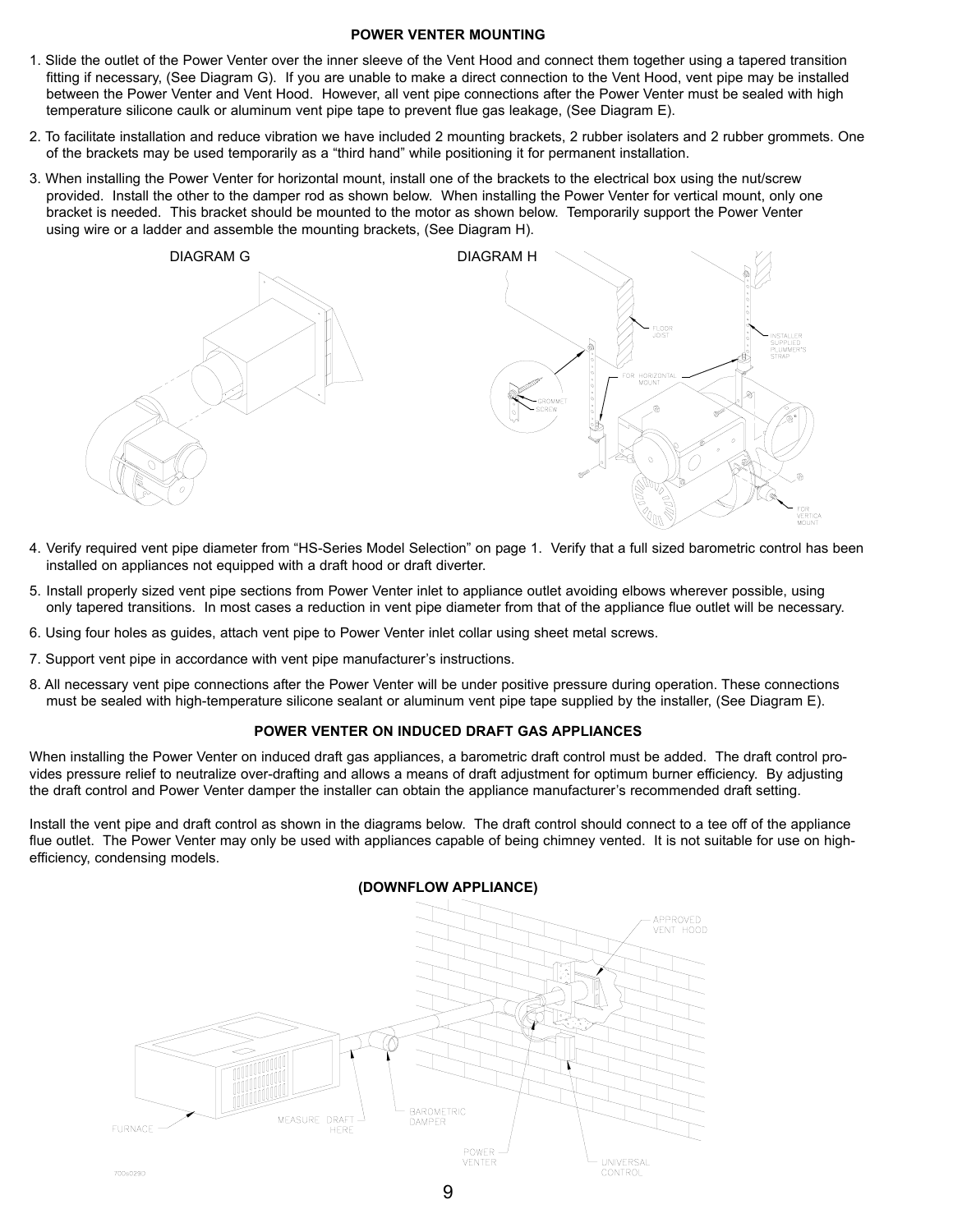## **POWER VENTER MOUNTING**

- 1. Slide the outlet of the Power Venter over the inner sleeve of the Vent Hood and connect them together using a tapered transition fitting if necessary, (See Diagram G). If you are unable to make a direct connection to the Vent Hood, vent pipe may be installed between the Power Venter and Vent Hood. However, all vent pipe connections after the Power Venter must be sealed with high temperature silicone caulk or aluminum vent pipe tape to prevent flue gas leakage, (See Diagram E).
- 2. To facilitate installation and reduce vibration we have included 2 mounting brackets, 2 rubber isolaters and 2 rubber grommets. One of the brackets may be used temporarily as a "third hand" while positioning it for permanent installation.
- 3. When installing the Power Venter for horizontal mount, install one of the brackets to the electrical box using the nut/screw provided. Install the other to the damper rod as shown below. When installing the Power Venter for vertical mount, only one bracket is needed. This bracket should be mounted to the motor as shown below. Temporarily support the Power Venter using wire or a ladder and assemble the mounting brackets, (See Diagram H).



- 4. Verify required vent pipe diameter from "HS-Series Model Selection" on page 1. Verify that a full sized barometric control has been installed on appliances not equipped with a draft hood or draft diverter.
- 5. Install properly sized vent pipe sections from Power Venter inlet to appliance outlet avoiding elbows wherever possible, using only tapered transitions. In most cases a reduction in vent pipe diameter from that of the appliance flue outlet will be necessary.
- 6. Using four holes as guides, attach vent pipe to Power Venter inlet collar using sheet metal screws.
- 7. Support vent pipe in accordance with vent pipe manufacturer's instructions.
- 8. All necessary vent pipe connections after the Power Venter will be under positive pressure during operation. These connections must be sealed with high-temperature silicone sealant or aluminum vent pipe tape supplied by the installer, (See Diagram E).

#### **POWER VENTER ON INDUCED DRAFT GAS APPLIANCES**

When installing the Power Venter on induced draft gas appliances, a barometric draft control must be added. The draft control provides pressure relief to neutralize over-drafting and allows a means of draft adjustment for optimum burner efficiency. By adjusting the draft control and Power Venter damper the installer can obtain the appliance manufacturer's recommended draft setting.

Install the vent pipe and draft control as shown in the diagrams below. The draft control should connect to a tee off of the appliance flue outlet. The Power Venter may only be used with appliances capable of being chimney vented. It is not suitable for use on highefficiency, condensing models.

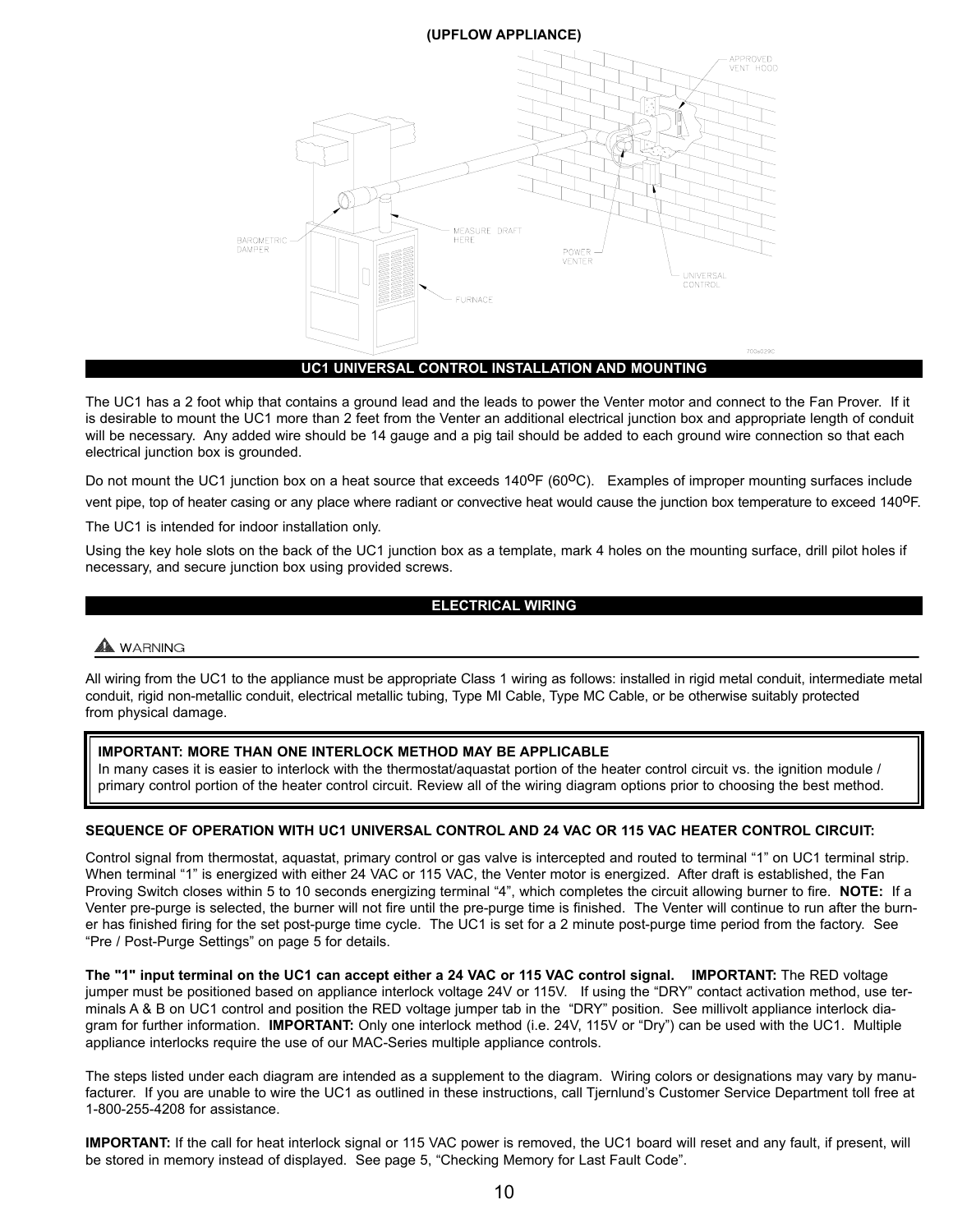## **(UPFLOW APPLIANCE)**



The UC1 has a 2 foot whip that contains a ground lead and the leads to power the Venter motor and connect to the Fan Prover. If it is desirable to mount the UC1 more than 2 feet from the Venter an additional electrical junction box and appropriate length of conduit will be necessary. Any added wire should be 14 gauge and a pig tail should be added to each ground wire connection so that each electrical junction box is grounded.

Do not mount the UC1 junction box on a heat source that exceeds  $140^{\circ}F (60^{\circ}C)$ . Examples of improper mounting surfaces include vent pipe, top of heater casing or any place where radiant or convective heat would cause the junction box temperature to exceed 140<sup>0</sup>F.

The UC1 is intended for indoor installation only.

Using the key hole slots on the back of the UC1 junction box as a template, mark 4 holes on the mounting surface, drill pilot holes if necessary, and secure junction box using provided screws.

## **ELECTRICAL WIRING**

## A WARNING

All wiring from the UC1 to the appliance must be appropriate Class 1 wiring as follows: installed in rigid metal conduit, intermediate metal conduit, rigid non-metallic conduit, electrical metallic tubing, Type MI Cable, Type MC Cable, or be otherwise suitably protected from physical damage.

## **IMPORTANT: MORE THAN ONE INTERLOCK METHOD MAY BE APPLICABLE**

In many cases it is easier to interlock with the thermostat/aquastat portion of the heater control circuit vs. the ignition module / primary control portion of the heater control circuit. Review all of the wiring diagram options prior to choosing the best method.

## **SEQUENCE OF OPERATION WITH UC1 UNIVERSAL CONTROL AND 24 VAC OR 115 VAC HEATER CONTROL CIRCUIT:**

Control signal from thermostat, aquastat, primary control or gas valve is intercepted and routed to terminal "1" on UC1 terminal strip. When terminal "1" is energized with either 24 VAC or 115 VAC, the Venter motor is energized. After draft is established, the Fan Proving Switch closes within 5 to 10 seconds energizing terminal "4", which completes the circuit allowing burner to fire. **NOTE:** If a Venter pre-purge is selected, the burner will not fire until the pre-purge time is finished. The Venter will continue to run after the burner has finished firing for the set post-purge time cycle. The UC1 is set for a 2 minute post-purge time period from the factory. See "Pre / Post-Purge Settings" on page 5 for details.

**The "1" input terminal on the UC1 can accept either a 24 VAC or 115 VAC control signal. IMPORTANT:** The RED voltage jumper must be positioned based on appliance interlock voltage 24V or 115V. If using the "DRY" contact activation method, use terminals A & B on UC1 control and position the RED voltage jumper tab in the "DRY" position. See millivolt appliance interlock diagram for further information. **IMPORTANT:** Only one interlock method (i.e. 24V, 115V or "Dry") can be used with the UC1. Multiple appliance interlocks require the use of our MAC-Series multiple appliance controls.

The steps listed under each diagram are intended as a supplement to the diagram. Wiring colors or designations may vary by manufacturer. If you are unable to wire the UC1 as outlined in these instructions, call Tjernlund's Customer Service Department toll free at 1-800-255-4208 for assistance.

**IMPORTANT:** If the call for heat interlock signal or 115 VAC power is removed, the UC1 board will reset and any fault, if present, will be stored in memory instead of displayed. See page 5, "Checking Memory for Last Fault Code".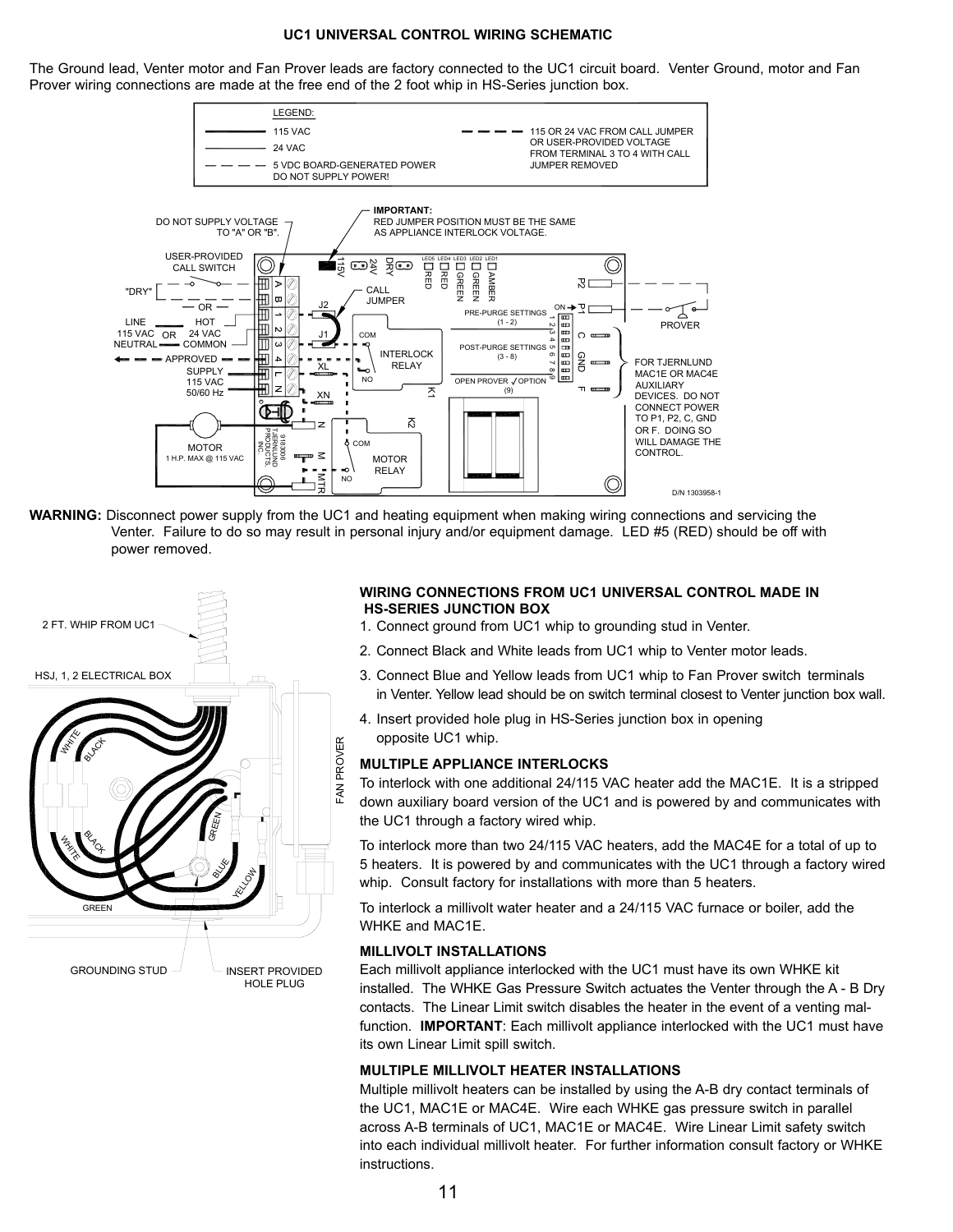## **UC1 UNIVERSAL CONTROL WIRING SCHEMATIC**

The Ground lead, Venter motor and Fan Prover leads are factory connected to the UC1 circuit board. Venter Ground, motor and Fan Prover wiring connections are made at the free end of the 2 foot whip in HS-Series junction box.



**WARNING:** Disconnect power supply from the UC1 and heating equipment when making wiring connections and servicing the Venter. Failure to do so may result in personal injury and/or equipment damage. LED #5 (RED) should be off with power removed.



## **WIRING CONNECTIONS FROM UC1 UNIVERSAL CONTROL MADE IN HS-SERIES JUNCTION BOX**

- 1. Connect ground from UC1 whip to grounding stud in Venter.
- 2. Connect Black and White leads from UC1 whip to Venter motor leads.
- 3. Connect Blue and Yellow leads from UC1 whip to Fan Prover switch terminals in Venter. Yellow lead should be on switch terminal closest to Venter junction box wall.
- 4. Insert provided hole plug in HS-Series junction box in opening opposite UC1 whip.

## **MULTIPLE APPLIANCE INTERLOCKS**

To interlock with one additional 24/115 VAC heater add the MAC1E. It is a stripped down auxiliary board version of the UC1 and is powered by and communicates with the UC1 through a factory wired whip.

To interlock more than two 24/115 VAC heaters, add the MAC4E for a total of up to 5 heaters. It is powered by and communicates with the UC1 through a factory wired whip. Consult factory for installations with more than 5 heaters.

To interlock a millivolt water heater and a 24/115 VAC furnace or boiler, add the WHKE and MAC1E.

## **MILLIVOLT INSTALLATIONS**

Each millivolt appliance interlocked with the UC1 must have its own WHKE kit installed. The WHKE Gas Pressure Switch actuates the Venter through the A - B Dry contacts. The Linear Limit switch disables the heater in the event of a venting malfunction. **IMPORTANT**: Each millivolt appliance interlocked with the UC1 must have its own Linear Limit spill switch.

#### **MULTIPLE MILLIVOLT HEATER INSTALLATIONS**

Multiple millivolt heaters can be installed by using the A-B dry contact terminals of the UC1, MAC1E or MAC4E. Wire each WHKE gas pressure switch in parallel across A-B terminals of UC1, MAC1E or MAC4E. Wire Linear Limit safety switch into each individual millivolt heater. For further information consult factory or WHKE instructions.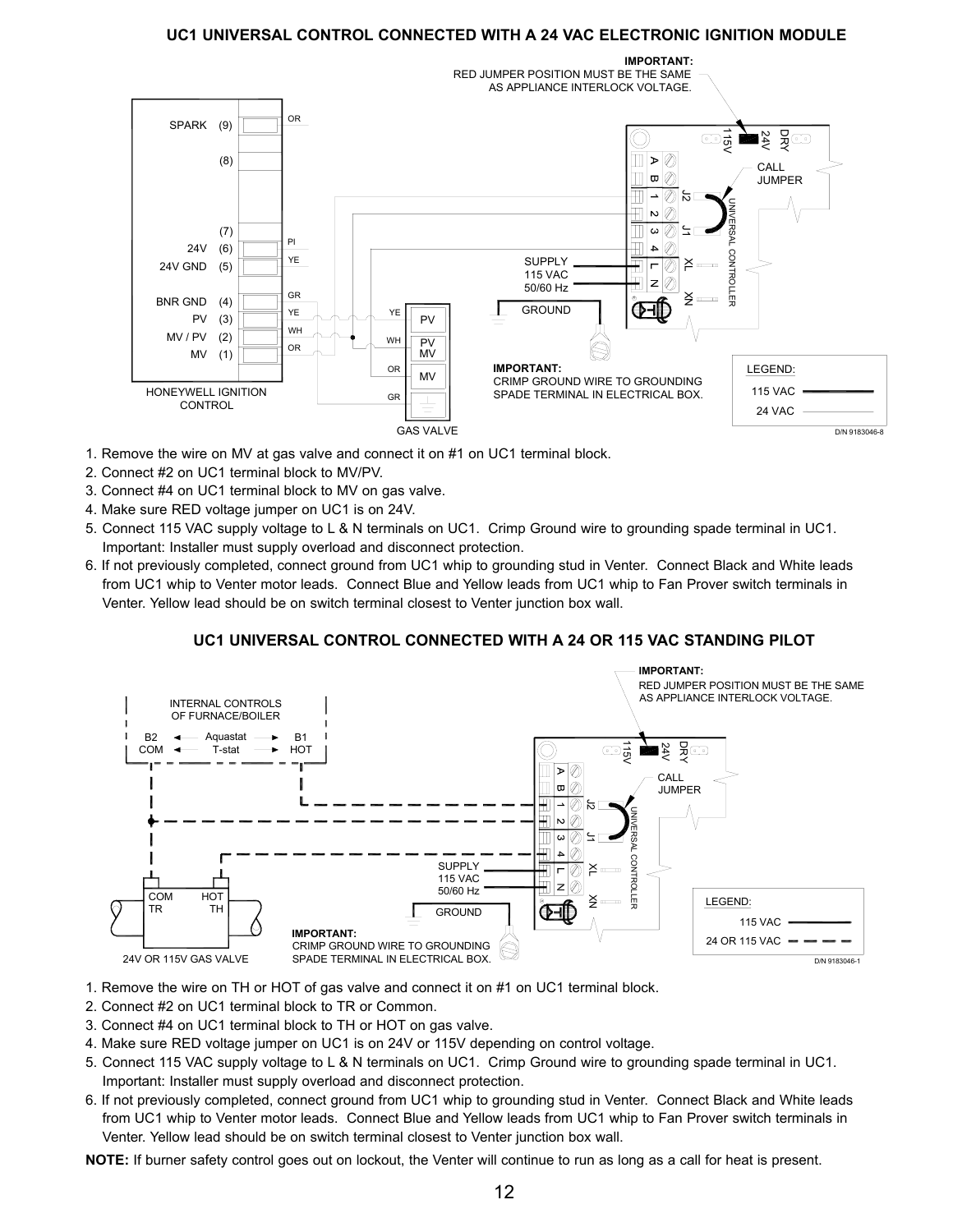## **UC1 UNIVERSAL CONTROL CONNECTED WITH A 24 VAC ELECTRONIC IGNITION MODULE**



- 1. Remove the wire on MV at gas valve and connect it on #1 on UC1 terminal block.
- 2. Connect #2 on UC1 terminal block to MV/PV.
- 3. Connect #4 on UC1 terminal block to MV on gas valve.
- 4. Make sure RED voltage jumper on UC1 is on 24V.
- 5. Connect 115 VAC supply voltage to L & N terminals on UC1. Crimp Ground wire to grounding spade terminal in UC1. Important: Installer must supply overload and disconnect protection.
- 6. If not previously completed, connect ground from UC1 whip to grounding stud in Venter. Connect Black and White leads from UC1 whip to Venter motor leads. Connect Blue and Yellow leads from UC1 whip to Fan Prover switch terminals in Venter. Yellow lead should be on switch terminal closest to Venter junction box wall.

## **UC1 UNIVERSAL CONTROL CONNECTED WITH A 24 OR 115 VAC STANDING PILOT**



- 1. Remove the wire on TH or HOT of gas valve and connect it on #1 on UC1 terminal block.
- 2. Connect #2 on UC1 terminal block to TR or Common.
- 3. Connect #4 on UC1 terminal block to TH or HOT on gas valve.
- 4. Make sure RED voltage jumper on UC1 is on 24V or 115V depending on control voltage.
- 5. Connect 115 VAC supply voltage to L & N terminals on UC1. Crimp Ground wire to grounding spade terminal in UC1. Important: Installer must supply overload and disconnect protection.
- 6. If not previously completed, connect ground from UC1 whip to grounding stud in Venter. Connect Black and White leads from UC1 whip to Venter motor leads. Connect Blue and Yellow leads from UC1 whip to Fan Prover switch terminals in Venter. Yellow lead should be on switch terminal closest to Venter junction box wall.

**NOTE:** If burner safety control goes out on lockout, the Venter will continue to run as long as a call for heat is present.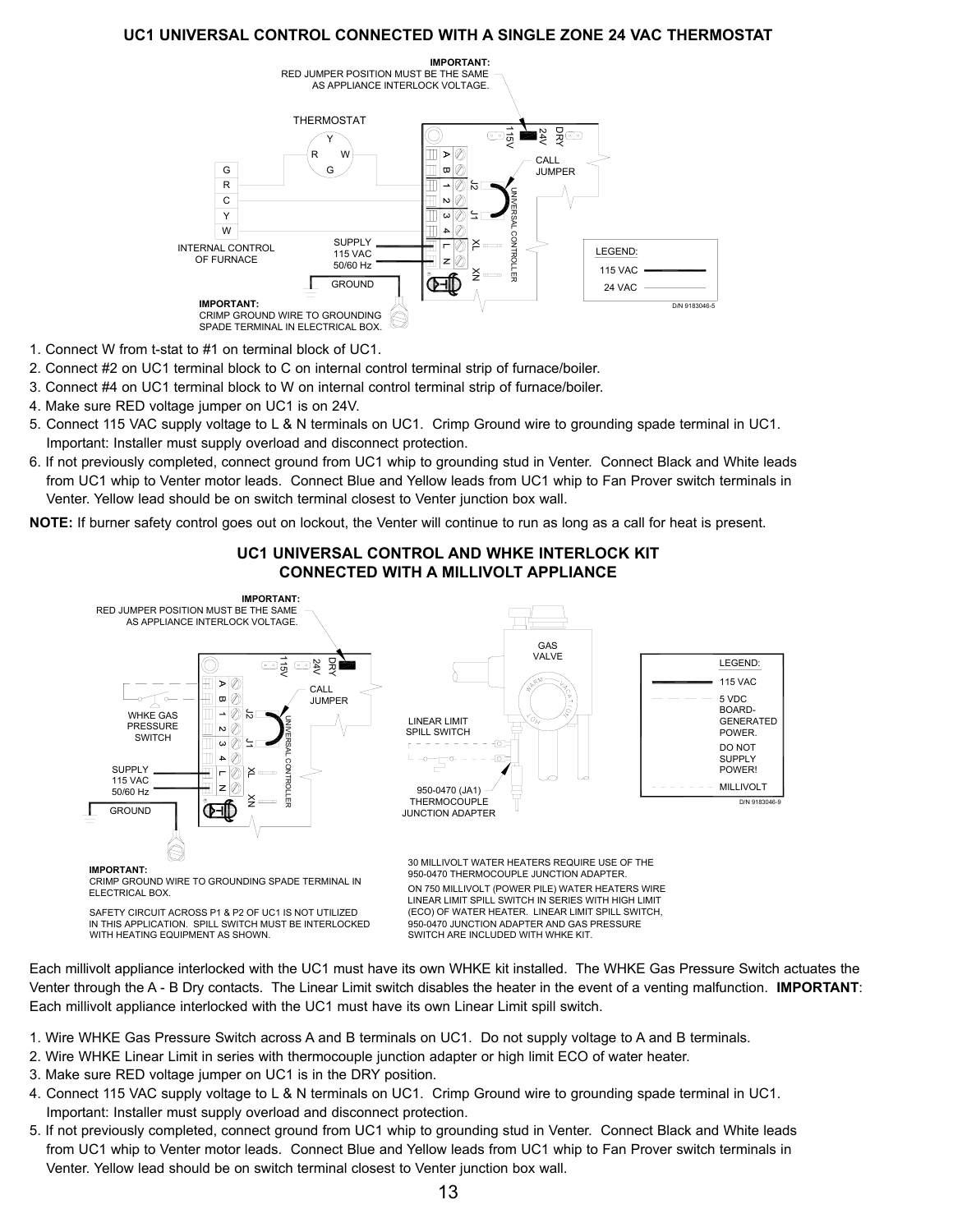## **UC1 UNIVERSAL CONTROL CONNECTED WITH A SINGLE ZONE 24 VAC THERMOSTAT**



- 1. Connect W from t-stat to #1 on terminal block of UC1.
- 2. Connect #2 on UC1 terminal block to C on internal control terminal strip of furnace/boiler.
- 3. Connect #4 on UC1 terminal block to W on internal control terminal strip of furnace/boiler.
- 4. Make sure RED voltage jumper on UC1 is on 24V.
- 5. Connect 115 VAC supply voltage to L & N terminals on UC1. Crimp Ground wire to grounding spade terminal in UC1. Important: Installer must supply overload and disconnect protection.
- 6. If not previously completed, connect ground from UC1 whip to grounding stud in Venter. Connect Black and White leads from UC1 whip to Venter motor leads. Connect Blue and Yellow leads from UC1 whip to Fan Prover switch terminals in Venter. Yellow lead should be on switch terminal closest to Venter junction box wall.

**NOTE:** If burner safety control goes out on lockout, the Venter will continue to run as long as a call for heat is present.



**UC1 UNIVERSAL CONTROL AND WHKE INTERLOCK KIT CONNECTED WITH A MILLIVOLT APPLIANCE** 

Each millivolt appliance interlocked with the UC1 must have its own WHKE kit installed. The WHKE Gas Pressure Switch actuates the Venter through the A - B Dry contacts. The Linear Limit switch disables the heater in the event of a venting malfunction. **IMPORTANT**: Each millivolt appliance interlocked with the UC1 must have its own Linear Limit spill switch.

(ECO) OF WATER HEATER. LINEAR LIMIT SPILL SWITCH,

950-0470 JUNCTION ADAPTER AND GAS PRESSURE SWITCH ARE INCLUDED WITH WHKE KIT.

- 1. Wire WHKE Gas Pressure Switch across A and B terminals on UC1. Do not supply voltage to A and B terminals.
- 2. Wire WHKE Linear Limit in series with thermocouple junction adapter or high limit ECO of water heater.
- 3. Make sure RED voltage jumper on UC1 is in the DRY position.

SAFETY CIRCUIT ACROSS P1 & P2 OF UC1 IS NOT UTILIZED

IN THIS APPLICATION. SPILL SWITCH MUST BE INTERLOCKED

WITH HEATING EQUIPMENT AS SHOWN.

- 4. Connect 115 VAC supply voltage to L & N terminals on UC1. Crimp Ground wire to grounding spade terminal in UC1. Important: Installer must supply overload and disconnect protection.
- 5. If not previously completed, connect ground from UC1 whip to grounding stud in Venter. Connect Black and White leads from UC1 whip to Venter motor leads. Connect Blue and Yellow leads from UC1 whip to Fan Prover switch terminals in Venter. Yellow lead should be on switch terminal closest to Venter junction box wall.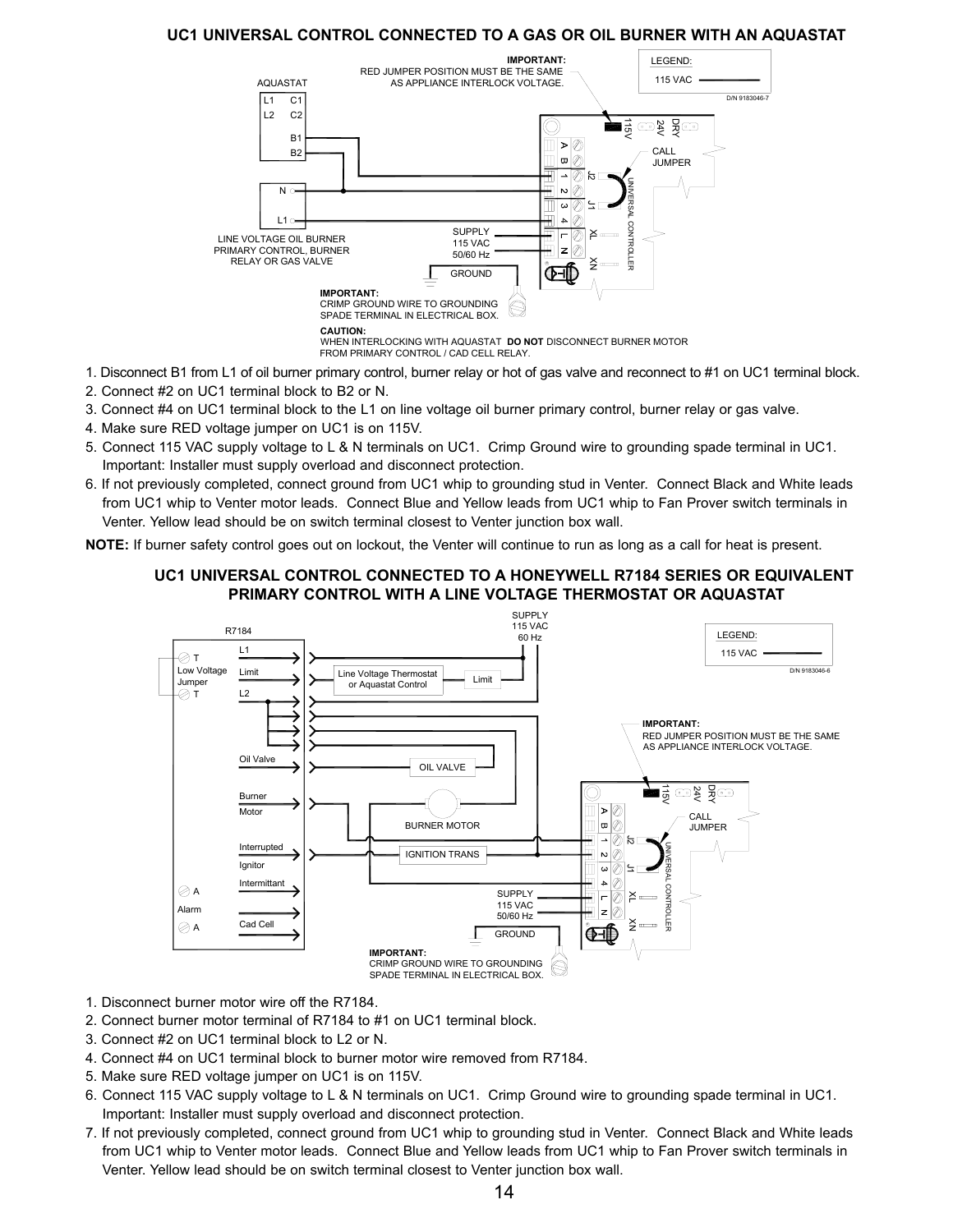## **UC1 UNIVERSAL CONTROL CONNECTED TO A GAS OR OIL BURNER WITH AN AQUASTAT**



- 1. Disconnect B1 from L1 of oil burner primary control, burner relay or hot of gas valve and reconnect to #1 on UC1 terminal block.
- 2. Connect #2 on UC1 terminal block to B2 or N.
- 3. Connect #4 on UC1 terminal block to the L1 on line voltage oil burner primary control, burner relay or gas valve.
- 4. Make sure RED voltage jumper on UC1 is on 115V.
- 5. Connect 115 VAC supply voltage to L & N terminals on UC1. Crimp Ground wire to grounding spade terminal in UC1. Important: Installer must supply overload and disconnect protection.
- 6. If not previously completed, connect ground from UC1 whip to grounding stud in Venter. Connect Black and White leads from UC1 whip to Venter motor leads. Connect Blue and Yellow leads from UC1 whip to Fan Prover switch terminals in Venter. Yellow lead should be on switch terminal closest to Venter junction box wall.

**NOTE:** If burner safety control goes out on lockout, the Venter will continue to run as long as a call for heat is present.

## **UC1 UNIVERSAL CONTROL CONNECTED TO A HONEYWELL R7184 SERIES OR EQUIVALENT PRIMARY CONTROL WITH A LINE VOLTAGE THERMOSTAT OR AQUASTAT**



- 1. Disconnect burner motor wire off the R7184.
- 2. Connect burner motor terminal of R7184 to #1 on UC1 terminal block.
- 3. Connect #2 on UC1 terminal block to L2 or N.
- 4. Connect #4 on UC1 terminal block to burner motor wire removed from R7184.
- 5. Make sure RED voltage jumper on UC1 is on 115V.
- 6. Connect 115 VAC supply voltage to L & N terminals on UC1. Crimp Ground wire to grounding spade terminal in UC1. Important: Installer must supply overload and disconnect protection.
- 7. If not previously completed, connect ground from UC1 whip to grounding stud in Venter. Connect Black and White leads from UC1 whip to Venter motor leads. Connect Blue and Yellow leads from UC1 whip to Fan Prover switch terminals in Venter. Yellow lead should be on switch terminal closest to Venter junction box wall.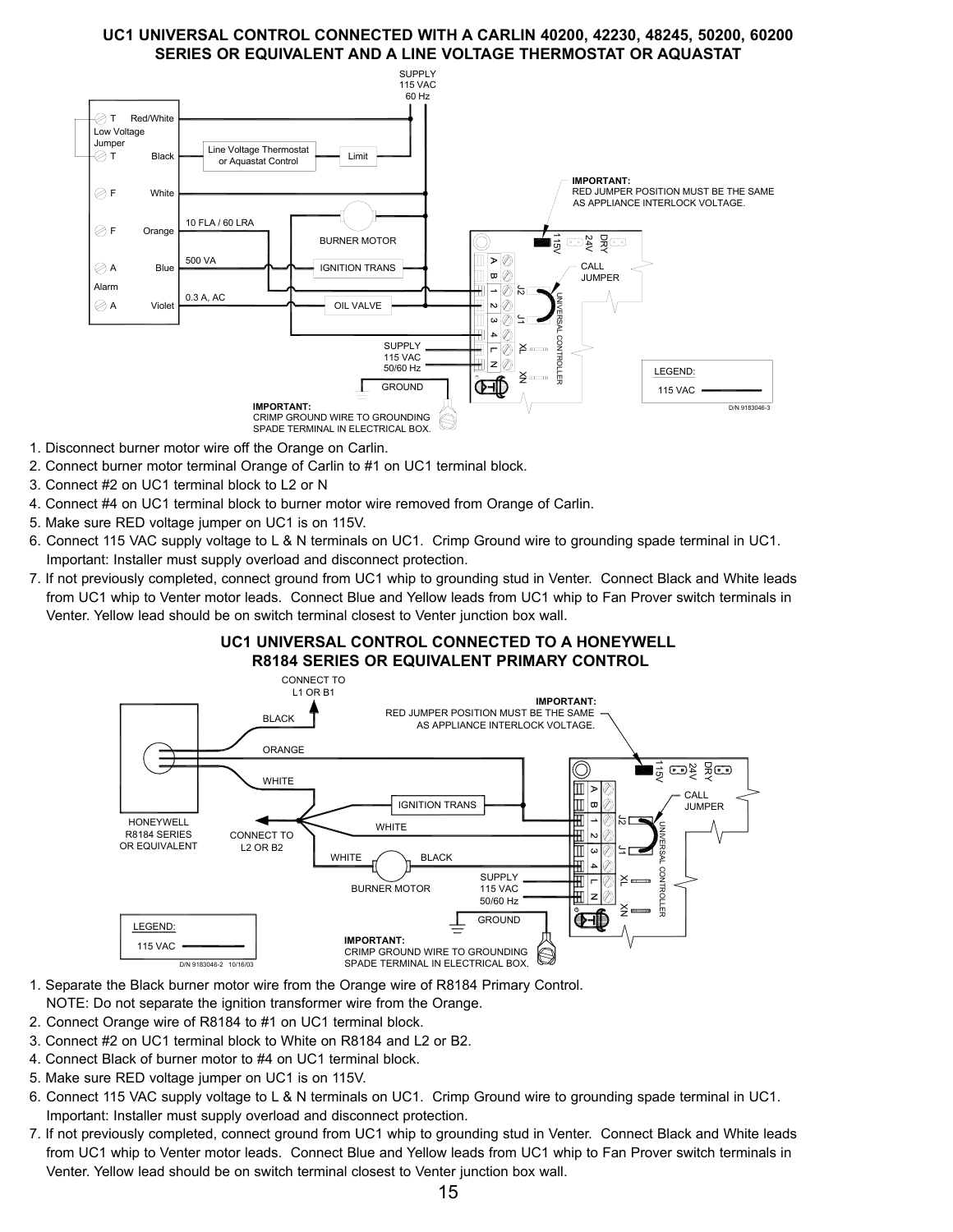## **UC1 UNIVERSAL CONTROL CONNECTED WITH A CARLIN 40200, 42230, 48245, 50200, 60200 SERIES OR EQUIVALENT AND A LINE VOLTAGE THERMOSTAT OR AQUASTAT**



- 1. Disconnect burner motor wire off the Orange on Carlin.
- 2. Connect burner motor terminal Orange of Carlin to #1 on UC1 terminal block.
- 3. Connect #2 on UC1 terminal block to L2 or N
- 4. Connect #4 on UC1 terminal block to burner motor wire removed from Orange of Carlin.
- 5. Make sure RED voltage jumper on UC1 is on 115V.
- 6. Connect 115 VAC supply voltage to L & N terminals on UC1. Crimp Ground wire to grounding spade terminal in UC1. Important: Installer must supply overload and disconnect protection.
- 7. If not previously completed, connect ground from UC1 whip to grounding stud in Venter. Connect Black and White leads from UC1 whip to Venter motor leads. Connect Blue and Yellow leads from UC1 whip to Fan Prover switch terminals in Venter. Yellow lead should be on switch terminal closest to Venter junction box wall.

## **UC1 UNIVERSAL CONTROL CONNECTED TO A HONEYWELL R8184 SERIES OR EQUIVALENT PRIMARY CONTROL**



- 1. Separate the Black burner motor wire from the Orange wire of R8184 Primary Control.
- NOTE: Do not separate the ignition transformer wire from the Orange.
- 2. Connect Orange wire of R8184 to #1 on UC1 terminal block.
- 3. Connect #2 on UC1 terminal block to White on R8184 and L2 or B2.
- 4. Connect Black of burner motor to #4 on UC1 terminal block.
- 5. Make sure RED voltage jumper on UC1 is on 115V.
- 6. Connect 115 VAC supply voltage to L & N terminals on UC1. Crimp Ground wire to grounding spade terminal in UC1. Important: Installer must supply overload and disconnect protection.
- 7. If not previously completed, connect ground from UC1 whip to grounding stud in Venter. Connect Black and White leads from UC1 whip to Venter motor leads. Connect Blue and Yellow leads from UC1 whip to Fan Prover switch terminals in Venter. Yellow lead should be on switch terminal closest to Venter junction box wall.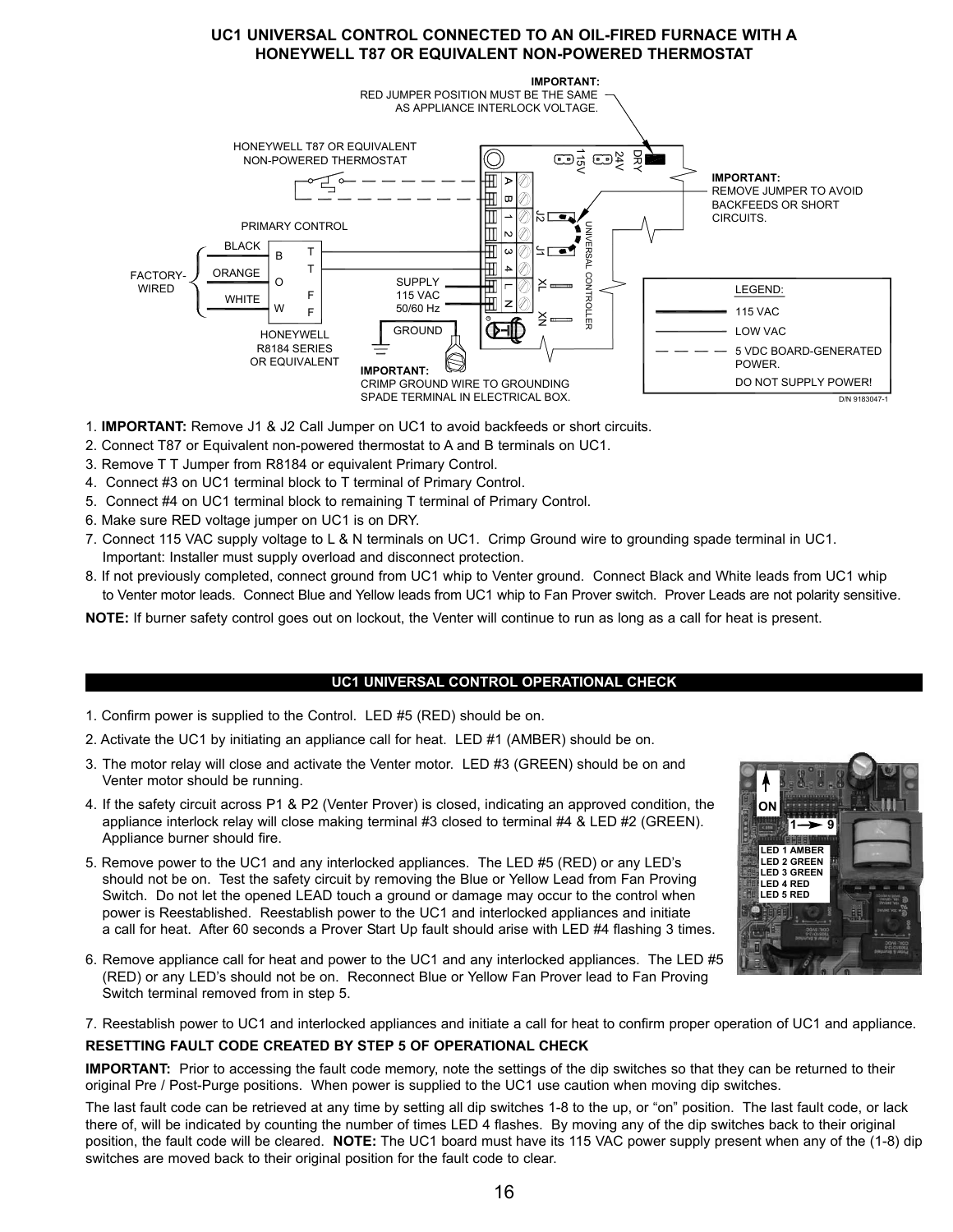## **UC1 UNIVERSAL CONTROL CONNECTED TO AN OIL-FIRED FURNACE WITH A HONEYWELL T87 OR EQUIVALENT NON-POWERED THERMOSTAT**



- 1. **IMPORTANT:** Remove J1 & J2 Call Jumper on UC1 to avoid backfeeds or short circuits.
- 2. Connect T87 or Equivalent non-powered thermostat to A and B terminals on UC1.
- 3. Remove T T Jumper from R8184 or equivalent Primary Control.
- 4. Connect #3 on UC1 terminal block to T terminal of Primary Control.
- 5. Connect #4 on UC1 terminal block to remaining T terminal of Primary Control.
- 6. Make sure RED voltage jumper on UC1 is on DRY.
- 7. Connect 115 VAC supply voltage to L & N terminals on UC1. Crimp Ground wire to grounding spade terminal in UC1. Important: Installer must supply overload and disconnect protection.
- 8. If not previously completed, connect ground from UC1 whip to Venter ground. Connect Black and White leads from UC1 whip to Venter motor leads. Connect Blue and Yellow leads from UC1 whip to Fan Prover switch. Prover Leads are not polarity sensitive.

**NOTE:** If burner safety control goes out on lockout, the Venter will continue to run as long as a call for heat is present.

## **UC1 UNIVERSAL CONTROL OPERATIONAL CHECK**

- 1. Confirm power is supplied to the Control. LED #5 (RED) should be on.
- 2. Activate the UC1 by initiating an appliance call for heat. LED #1 (AMBER) should be on.
- 3. The motor relay will close and activate the Venter motor. LED #3 (GREEN) should be on and Venter motor should be running.
- 4. If the safety circuit across P1 & P2 (Venter Prover) is closed, indicating an approved condition, the appliance interlock relay will close making terminal #3 closed to terminal #4 & LED #2 (GREEN). Appliance burner should fire.
- 5. Remove power to the UC1 and any interlocked appliances. The LED #5 (RED) or any LED's should not be on. Test the safety circuit by removing the Blue or Yellow Lead from Fan Proving Switch. Do not let the opened LEAD touch a ground or damage may occur to the control when power is Reestablished. Reestablish power to the UC1 and interlocked appliances and initiate a call for heat. After 60 seconds a Prover Start Up fault should arise with LED #4 flashing 3 times.
- 6. Remove appliance call for heat and power to the UC1 and any interlocked appliances. The LED #5 (RED) or any LED's should not be on. Reconnect Blue or Yellow Fan Prover lead to Fan Proving Switch terminal removed from in step 5.

7. Reestablish power to UC1 and interlocked appliances and initiate a call for heat to confirm proper operation of UC1 and appliance.

## **RESETTING FAULT CODE CREATED BY STEP 5 OF OPERATIONAL CHECK**

**IMPORTANT:** Prior to accessing the fault code memory, note the settings of the dip switches so that they can be returned to their original Pre / Post-Purge positions. When power is supplied to the UC1 use caution when moving dip switches.

The last fault code can be retrieved at any time by setting all dip switches 1-8 to the up, or "on" position. The last fault code, or lack there of, will be indicated by counting the number of times LED 4 flashes. By moving any of the dip switches back to their original position, the fault code will be cleared. **NOTE:** The UC1 board must have its 115 VAC power supply present when any of the (1-8) dip switches are moved back to their original position for the fault code to clear.

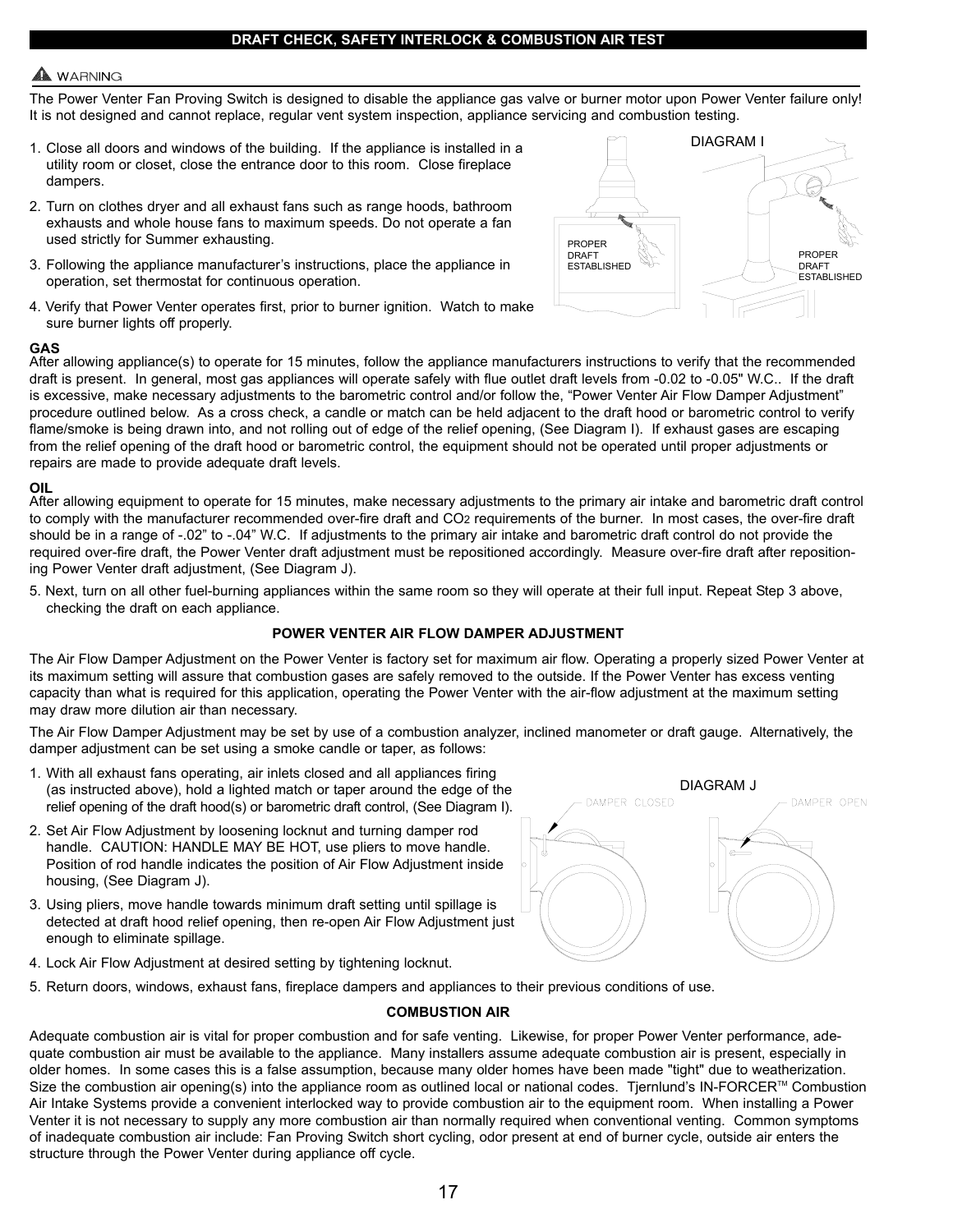## **DRAFT CHECK, SAFETY INTERLOCK & COMBUSTION AIR TEST**

## **WARNING**

The Power Venter Fan Proving Switch is designed to disable the appliance gas valve or burner motor upon Power Venter failure only! It is not designed and cannot replace, regular vent system inspection, appliance servicing and combustion testing.

- 1. Close all doors and windows of the building. If the appliance is installed in a utility room or closet, close the entrance door to this room. Close fireplace dampers.
- 2. Turn on clothes dryer and all exhaust fans such as range hoods, bathroom exhausts and whole house fans to maximum speeds. Do not operate a fan used strictly for Summer exhausting.
- 3. Following the appliance manufacturer's instructions, place the appliance in operation, set thermostat for continuous operation.
- 4. Verify that Power Venter operates first, prior to burner ignition. Watch to make sure burner lights off properly.



#### **GAS**

After allowing appliance(s) to operate for 15 minutes, follow the appliance manufacturers instructions to verify that the recommended draft is present. In general, most gas appliances will operate safely with flue outlet draft levels from -0.02 to -0.05" W.C.. If the draft is excessive, make necessary adjustments to the barometric control and/or follow the, "Power Venter Air Flow Damper Adjustment" procedure outlined below. As a cross check, a candle or match can be held adjacent to the draft hood or barometric control to verify flame/smoke is being drawn into, and not rolling out of edge of the relief opening, (See Diagram I). If exhaust gases are escaping from the relief opening of the draft hood or barometric control, the equipment should not be operated until proper adjustments or repairs are made to provide adequate draft levels.

#### **OIL**

After allowing equipment to operate for 15 minutes, make necessary adjustments to the primary air intake and barometric draft control to comply with the manufacturer recommended over-fire draft and CO2 requirements of the burner. In most cases, the over-fire draft should be in a range of -.02" to -.04" W.C. If adjustments to the primary air intake and barometric draft control do not provide the required over-fire draft, the Power Venter draft adjustment must be repositioned accordingly. Measure over-fire draft after repositioning Power Venter draft adjustment, (See Diagram J).

5. Next, turn on all other fuel-burning appliances within the same room so they will operate at their full input. Repeat Step 3 above, checking the draft on each appliance.

## **POWER VENTER AIR FLOW DAMPER ADJUSTMENT**

The Air Flow Damper Adjustment on the Power Venter is factory set for maximum air flow. Operating a properly sized Power Venter at its maximum setting will assure that combustion gases are safely removed to the outside. If the Power Venter has excess venting capacity than what is required for this application, operating the Power Venter with the air-flow adjustment at the maximum setting may draw more dilution air than necessary.

The Air Flow Damper Adjustment may be set by use of a combustion analyzer, inclined manometer or draft gauge. Alternatively, the damper adjustment can be set using a smoke candle or taper, as follows:

- 1. With all exhaust fans operating, air inlets closed and all appliances firing (as instructed above), hold a lighted match or taper around the edge of the relief opening of the draft hood(s) or barometric draft control, (See Diagram I).
- 2. Set Air Flow Adjustment by loosening locknut and turning damper rod handle. CAUTION: HANDLE MAY BE HOT, use pliers to move handle. Position of rod handle indicates the position of Air Flow Adjustment inside housing, (See Diagram J).
- 3. Using pliers, move handle towards minimum draft setting until spillage is detected at draft hood relief opening, then re-open Air Flow Adjustment just enough to eliminate spillage.
- 4. Lock Air Flow Adjustment at desired setting by tightening locknut.
- 5. Return doors, windows, exhaust fans, fireplace dampers and appliances to their previous conditions of use.

## **COMBUSTION AIR**

Adequate combustion air is vital for proper combustion and for safe venting. Likewise, for proper Power Venter performance, adequate combustion air must be available to the appliance. Many installers assume adequate combustion air is present, especially in older homes. In some cases this is a false assumption, because many older homes have been made "tight" due to weatherization. Size the combustion air opening(s) into the appliance room as outlined local or national codes. Tjernlund's IN-FORCER™ Combustion Air Intake Systems provide a convenient interlocked way to provide combustion air to the equipment room. When installing a Power Venter it is not necessary to supply any more combustion air than normally required when conventional venting. Common symptoms of inadequate combustion air include: Fan Proving Switch short cycling, odor present at end of burner cycle, outside air enters the structure through the Power Venter during appliance off cycle.

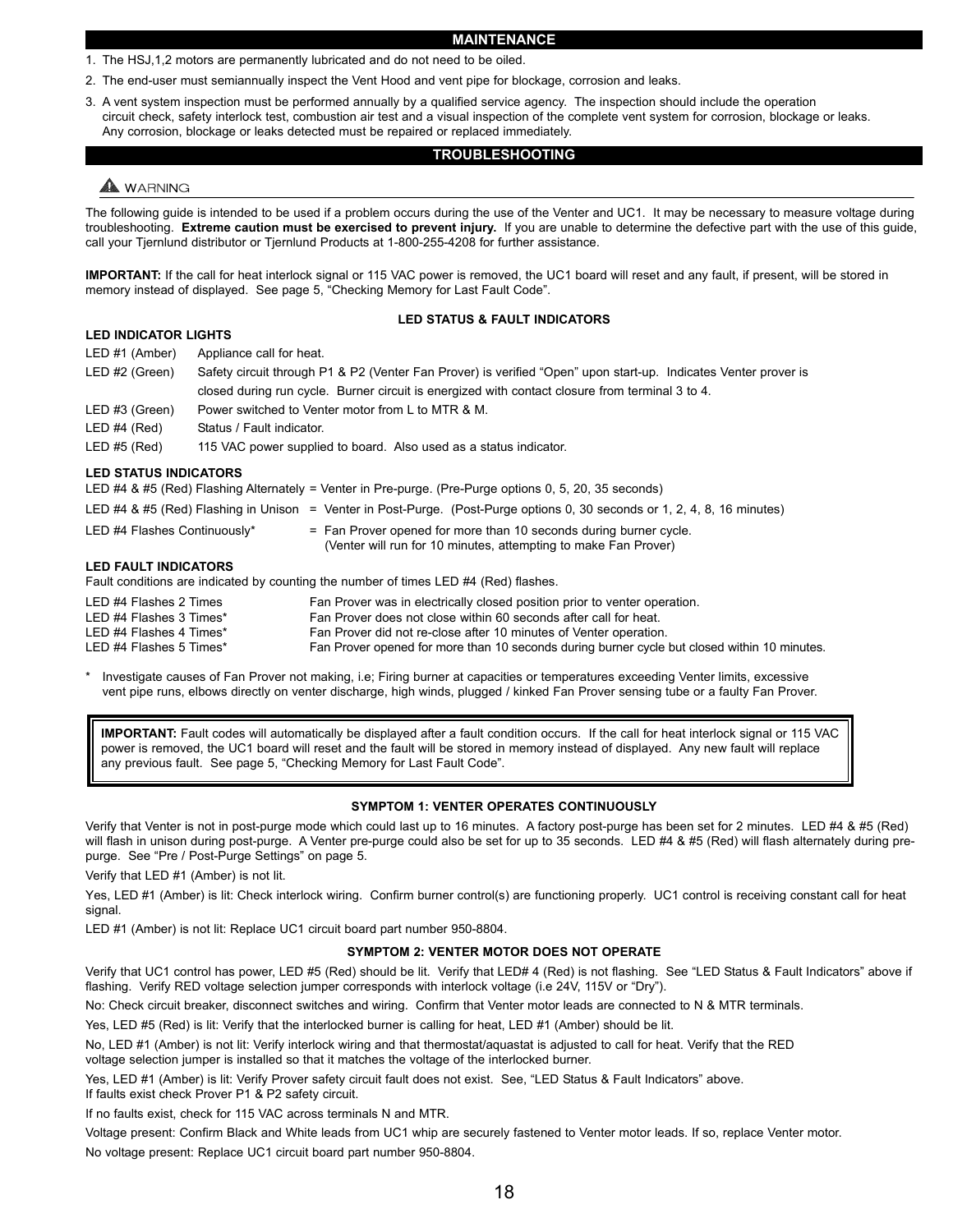#### **MAINTENANCE**

- 1. The HSJ,1,2 motors are permanently lubricated and do not need to be oiled.
- 2. The end-user must semiannually inspect the Vent Hood and vent pipe for blockage, corrosion and leaks.
- 3. A vent system inspection must be performed annually by a qualified service agency. The inspection should include the operation circuit check, safety interlock test, combustion air test and a visual inspection of the complete vent system for corrosion, blockage or leaks. Any corrosion, blockage or leaks detected must be repaired or replaced immediately.

#### **TROUBLESHOOTING**

## A WARNING

The following guide is intended to be used if a problem occurs during the use of the Venter and UC1. It may be necessary to measure voltage during troubleshooting. **Extreme caution must be exercised to prevent injury.** If you are unable to determine the defective part with the use of this guide, call your Tjernlund distributor or Tjernlund Products at 1-800-255-4208 for further assistance.

**IMPORTANT:** If the call for heat interlock signal or 115 VAC power is removed, the UC1 board will reset and any fault, if present, will be stored in memory instead of displayed. See page 5, "Checking Memory for Last Fault Code".

#### **LED STATUS & FAULT INDICATORS**

| ---------------------- |                                                                                                                 |
|------------------------|-----------------------------------------------------------------------------------------------------------------|
| LED #1 (Amber)         | Appliance call for heat.                                                                                        |
| LED #2 (Green)         | Safety circuit through P1 & P2 (Venter Fan Prover) is verified "Open" upon start-up. Indicates Venter prover is |
|                        | closed during run cycle. Burner circuit is energized with contact closure from terminal 3 to 4.                 |
| LED #3 (Green)         | Power switched to Venter motor from L to MTR & M.                                                               |
| LED#4 (Red)            | Status / Fault indicator.                                                                                       |
| LED#5 (Red)            | 115 VAC power supplied to board. Also used as a status indicator.                                               |
|                        |                                                                                                                 |

#### **LED STATUS INDICATORS**

**LED INDICATOR LIGHTS** 

LED #4 & #5 (Red) Flashing Alternately = Venter in Pre-purge. (Pre-Purge options 0, 5, 20, 35 seconds)

- LED #4 & #5 (Red) Flashing in Unison = Venter in Post-Purge. (Post-Purge options 0, 30 seconds or 1, 2, 4, 8, 16 minutes)
- LED #4 Flashes Continuously\* = Fan Prover opened for more than 10 seconds during burner cycle. (Venter will run for 10 minutes, attempting to make Fan Prover)

#### **LED FAULT INDICATORS**

Fault conditions are indicated by counting the number of times LED #4 (Red) flashes.

| LED #4 Flashes 2 Times  | Fan Prover was in electrically closed position prior to venter operation.                    |
|-------------------------|----------------------------------------------------------------------------------------------|
| LED #4 Flashes 3 Times* | Fan Prover does not close within 60 seconds after call for heat.                             |
| LED #4 Flashes 4 Times* | Fan Prover did not re-close after 10 minutes of Venter operation.                            |
| LED #4 Flashes 5 Times* | Fan Prover opened for more than 10 seconds during burner cycle but closed within 10 minutes. |

Investigate causes of Fan Prover not making, i.e; Firing burner at capacities or temperatures exceeding Venter limits, excessive vent pipe runs, elbows directly on venter discharge, high winds, plugged / kinked Fan Prover sensing tube or a faulty Fan Prover.

**IMPORTANT:** Fault codes will automatically be displayed after a fault condition occurs. If the call for heat interlock signal or 115 VAC power is removed, the UC1 board will reset and the fault will be stored in memory instead of displayed. Any new fault will replace any previous fault. See page 5, "Checking Memory for Last Fault Code".

#### **SYMPTOM 1: VENTER OPERATES CONTINUOUSLY**

Verify that Venter is not in post-purge mode which could last up to 16 minutes. A factory post-purge has been set for 2 minutes. LED #4 & #5 (Red) will flash in unison during post-purge. A Venter pre-purge could also be set for up to 35 seconds. LED #4 & #5 (Red) will flash alternately during prepurge. See "Pre / Post-Purge Settings" on page 5.

Verify that LED #1 (Amber) is not lit.

Yes, LED #1 (Amber) is lit: Check interlock wiring. Confirm burner control(s) are functioning properly. UC1 control is receiving constant call for heat signal.

LED #1 (Amber) is not lit: Replace UC1 circuit board part number 950-8804.

#### **SYMPTOM 2: VENTER MOTOR DOES NOT OPERATE**

Verify that UC1 control has power, LED #5 (Red) should be lit. Verify that LED# 4 (Red) is not flashing. See "LED Status & Fault Indicators" above if flashing. Verify RED voltage selection jumper corresponds with interlock voltage (i.e 24V, 115V or "Dry").

No: Check circuit breaker, disconnect switches and wiring. Confirm that Venter motor leads are connected to N & MTR terminals.

Yes, LED #5 (Red) is lit: Verify that the interlocked burner is calling for heat, LED #1 (Amber) should be lit.

No, LED #1 (Amber) is not lit: Verify interlock wiring and that thermostat/aquastat is adjusted to call for heat. Verify that the RED voltage selection jumper is installed so that it matches the voltage of the interlocked burner.

Yes, LED #1 (Amber) is lit: Verify Prover safety circuit fault does not exist. See, "LED Status & Fault Indicators" above.

If faults exist check Prover P1 & P2 safety circuit.

If no faults exist, check for 115 VAC across terminals N and MTR.

Voltage present: Confirm Black and White leads from UC1 whip are securely fastened to Venter motor leads. If so, replace Venter motor. No voltage present: Replace UC1 circuit board part number 950-8804.